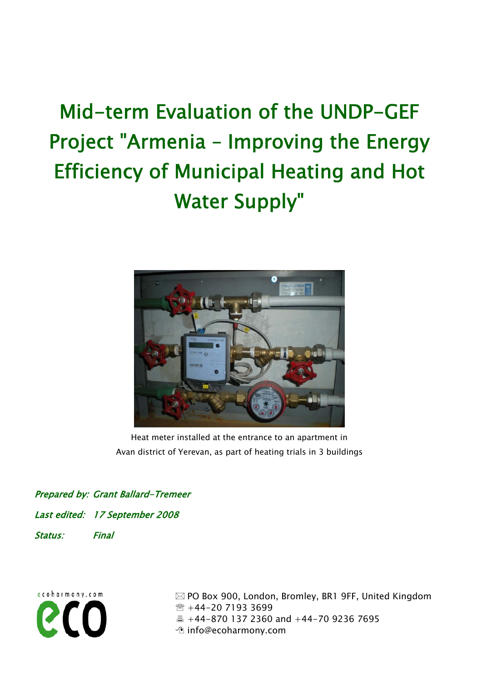# Mid-term Evaluation of the UNDP-GEF Project "Armenia – Improving the Energy Efficiency of Municipal Heating and Hot Water Supply"



Heat meter installed at the entrance to an apartment in Avan district of Yerevan, as part of heating trials in 3 buildings

Prepared by: Grant Ballard-Tremeer Last edited: 17 September 2008 Status: Final



 PO Box 900, London, Bromley, BR1 9FF, United Kingdom ● +44-20 7193 3699  $\triangleq$  +44-870 137 2360 and +44-70 9236 7695 *I* info@ecoharmony.com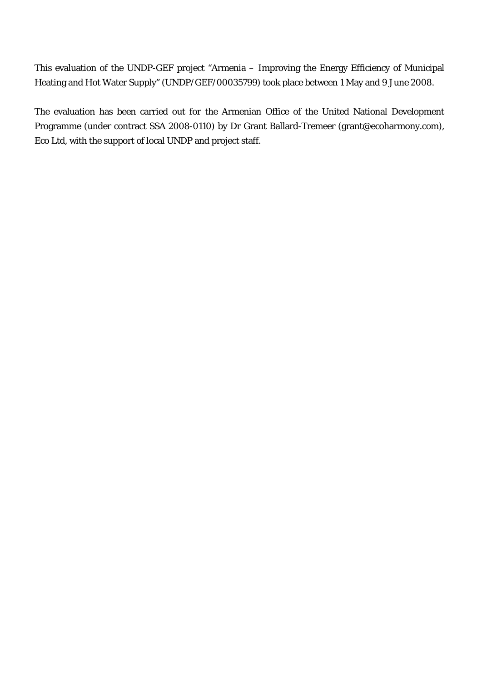This evaluation of the UNDP-GEF project "Armenia – Improving the Energy Efficiency of Municipal Heating and Hot Water Supply" (UNDP/GEF/00035799) took place between 1 May and 9 June 2008.

The evaluation has been carried out for the Armenian Office of the United National Development Programme (under contract SSA 2008-0110) by Dr Grant Ballard-Tremeer (grant@ecoharmony.com), Eco Ltd, with the support of local UNDP and project staff.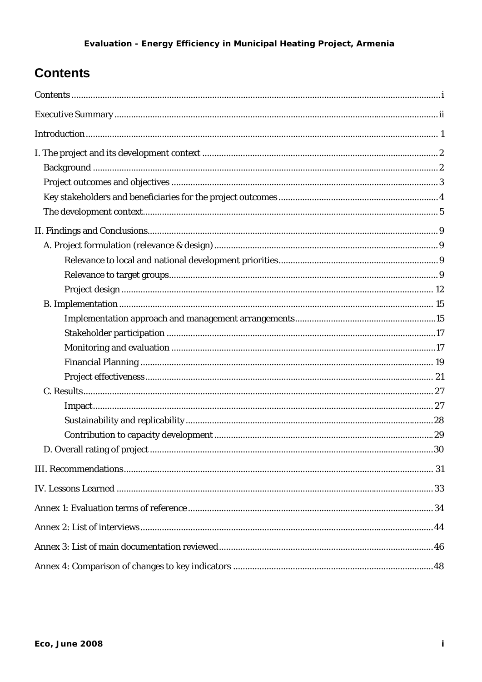# <span id="page-2-0"></span>**Contents**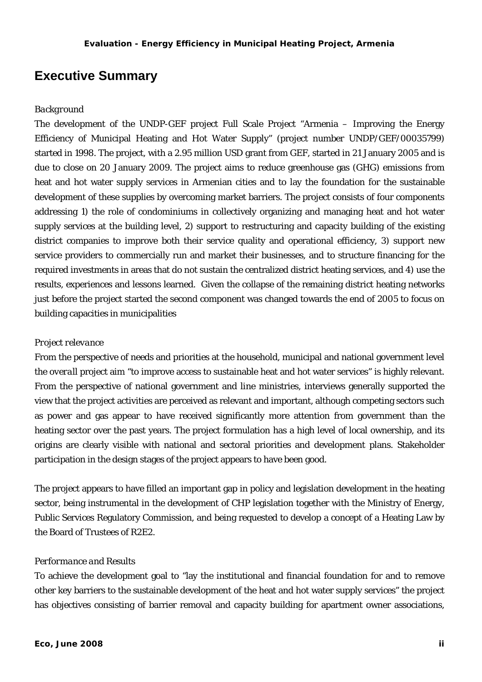### <span id="page-3-0"></span>**Executive Summary**

### *Background*

The development of the UNDP-GEF project Full Scale Project "Armenia – Improving the Energy Efficiency of Municipal Heating and Hot Water Supply" (project number UNDP/GEF/00035799) started in 1998. The project, with a 2.95 million USD grant from GEF, started in 21 January 2005 and is due to close on 20 January 2009. The project aims to reduce greenhouse gas (GHG) emissions from heat and hot water supply services in Armenian cities and to lay the foundation for the sustainable development of these supplies by overcoming market barriers. The project consists of four components addressing 1) the role of condominiums in collectively organizing and managing heat and hot water supply services at the building level, 2) support to restructuring and capacity building of the existing district companies to improve both their service quality and operational efficiency, 3) support new service providers to commercially run and market their businesses, and to structure financing for the required investments in areas that do not sustain the centralized district heating services, and 4) use the results, experiences and lessons learned. Given the collapse of the remaining district heating networks just before the project started the second component was changed towards the end of 2005 to focus on building capacities in municipalities

#### *Project relevance*

From the perspective of needs and priorities at the household, municipal and national government level the *overall* project aim "to improve access to sustainable heat and hot water services" is highly relevant. From the perspective of national government and line ministries, interviews generally supported the view that the project activities are perceived as relevant and important, although competing sectors such as power and gas appear to have received significantly more attention from government than the heating sector over the past years. The project formulation has a high level of local ownership, and its origins are clearly visible with national and sectoral priorities and development plans. Stakeholder participation in the design stages of the project appears to have been good.

The project appears to have filled an important gap in policy and legislation development in the heating sector, being instrumental in the development of CHP legislation together with the Ministry of Energy, Public Services Regulatory Commission, and being requested to develop a concept of a Heating Law by the Board of Trustees of R2E2.

#### *Performance and Results*

To achieve the development goal to "lay the institutional and financial foundation for and to remove other key barriers to the sustainable development of the heat and hot water supply services" the project has objectives consisting of barrier removal and capacity building for apartment owner associations,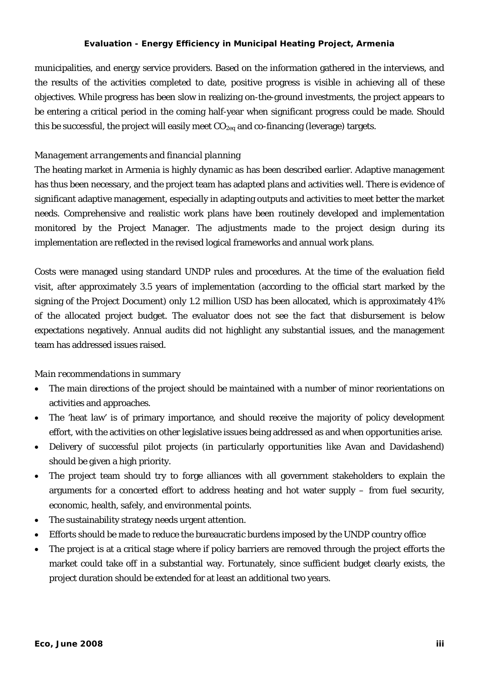municipalities, and energy service providers. Based on the information gathered in the interviews, and the results of the activities completed to date, positive progress is visible in achieving all of these objectives. While progress has been slow in realizing on-the-ground investments, the project appears to be entering a critical period in the coming half-year when significant progress could be made. Should this be successful, the project will easily meet  $CO_{2eq}$  and co-financing (leverage) targets.

### *Management arrangements and financial planning*

The heating market in Armenia is highly dynamic as has been described earlier. Adaptive management has thus been necessary, and the project team has adapted plans and activities well. There is evidence of significant adaptive management, especially in adapting outputs and activities to meet better the market needs. Comprehensive and realistic work plans have been routinely developed and implementation monitored by the Project Manager. The adjustments made to the project design during its implementation are reflected in the revised logical frameworks and annual work plans.

Costs were managed using standard UNDP rules and procedures. At the time of the evaluation field visit, after approximately 3.5 years of implementation (according to the official start marked by the signing of the Project Document) only 1.2 million USD has been allocated, which is approximately 41% of the allocated project budget. The evaluator does not see the fact that disbursement is below expectations negatively. Annual audits did not highlight any substantial issues, and the management team has addressed issues raised.

#### *Main recommendations in summary*

- The main directions of the project should be maintained with a number of minor reorientations on activities and approaches.
- The 'heat law' is of primary importance, and should receive the majority of policy development effort, with the activities on other legislative issues being addressed as and when opportunities arise.
- Delivery of successful pilot projects (in particularly opportunities like Avan and Davidashend) should be given a high priority.
- The project team should try to forge alliances with all government stakeholders to explain the arguments for a concerted effort to address heating and hot water supply – from fuel security, economic, health, safely, and environmental points.
- The sustainability strategy needs urgent attention.
- Efforts should be made to reduce the bureaucratic burdens imposed by the UNDP country office
- The project is at a critical stage where if policy barriers are removed through the project efforts the market could take off in a substantial way. Fortunately, since sufficient budget clearly exists, the project duration should be extended for at least an additional two years.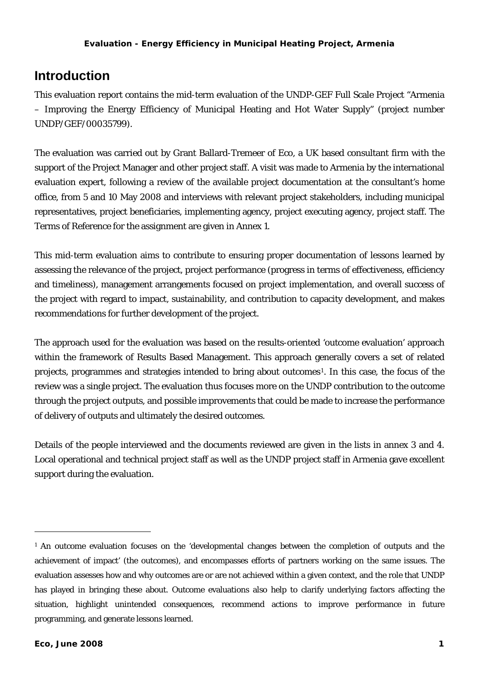### <span id="page-5-0"></span>**Introduction**

This evaluation report contains the mid-term evaluation of the UNDP-GEF Full Scale Project "Armenia – Improving the Energy Efficiency of Municipal Heating and Hot Water Supply" (project number UNDP/GEF/00035799).

The evaluation was carried out by Grant Ballard-Tremeer of [Eco,](http://www.ecoharmony.com/) a UK based consultant firm with the support of the Project Manager and other project staff. A visit was made to Armenia by the international evaluation expert, following a review of the available project documentation at the consultant's home office, from 5 and 10 May 2008 and interviews with relevant project stakeholders, including municipal representatives, project beneficiaries, implementing agency, project executing agency, project staff. The Terms of Reference for the assignment are given in Annex 1.

This mid-term evaluation aims to contribute to ensuring proper documentation of lessons learned by assessing the relevance of the project, project performance (progress in terms of effectiveness, efficiency and timeliness), management arrangements focused on project implementation, and overall success of the project with regard to impact, sustainability, and contribution to capacity development, and makes recommendations for further development of the project.

The approach used for the evaluation was based on the results-oriented 'outcome evaluation' approach within the framework of Results Based Management. This approach generally covers a set of related projects, programmes and strategies intended to bring about outcomes<sup>[1](#page-5-0)</sup>. In this case, the focus of the review was a single project. The evaluation thus focuses more on the UNDP contribution to the outcome through the project outputs, and possible improvements that could be made to increase the performance of delivery of outputs and ultimately the desired outcomes.

Details of the people interviewed and the documents reviewed are given in the lists in annex 3 and 4. Local operational and technical project staff as well as the UNDP project staff in Armenia gave excellent support during the evaluation.

 $\overline{a}$ 

<sup>1</sup> An outcome evaluation focuses on the 'developmental changes between the completion of outputs and the achievement of impact' (the outcomes), and encompasses efforts of partners working on the same issues. The evaluation assesses how and why outcomes are or are not achieved within a given context, and the role that UNDP has played in bringing these about. Outcome evaluations also help to clarify underlying factors affecting the situation, highlight unintended consequences, recommend actions to improve performance in future programming, and generate lessons learned.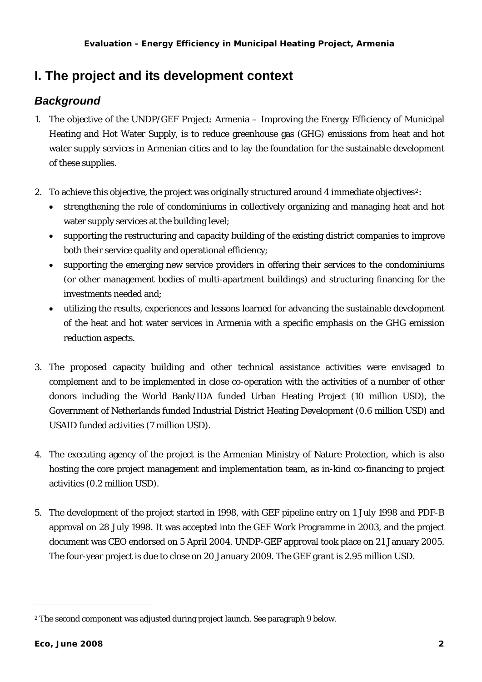### <span id="page-6-0"></span>**I. The project and its development context**

### *Background*

- 1. The objective of the UNDP/GEF Project: Armenia Improving the Energy Efficiency of Municipal Heating and Hot Water Supply, is to reduce greenhouse gas (GHG) emissions from heat and hot water supply services in Armenian cities and to lay the foundation for the sustainable development of these supplies.
- [2](#page-6-0). To achieve this objective, the project was originally structured around 4 immediate objectives<sup>2</sup>:
	- strengthening the role of condominiums in collectively organizing and managing heat and hot water supply services at the building level;
	- supporting the restructuring and capacity building of the existing district companies to improve both their service quality and operational efficiency;
	- supporting the emerging new service providers in offering their services to the condominiums (or other management bodies of multi-apartment buildings) and structuring financing for the investments needed and;
	- utilizing the results, experiences and lessons learned for advancing the sustainable development of the heat and hot water services in Armenia with a specific emphasis on the GHG emission reduction aspects.
- 3. The proposed capacity building and other technical assistance activities were envisaged to complement and to be implemented in close co-operation with the activities of a number of other donors including the World Bank/IDA funded Urban Heating Project (10 million USD), the Government of Netherlands funded Industrial District Heating Development (0.6 million USD) and USAID funded activities (7 million USD).
- 4. The executing agency of the project is the Armenian Ministry of Nature Protection, which is also hosting the core project management and implementation team, as in-kind co-financing to project activities (0.2 million USD).
- 5. The development of the project started in 1998, with GEF pipeline entry on 1 July 1998 and PDF-B approval on 28 July 1998. It was accepted into the GEF Work Programme in 2003, and the project document was CEO endorsed on 5 April 2004. UNDP-GEF approval took place on 21 January 2005. The four-year project is due to close on 20 January 2009. The GEF grant is 2.95 million USD.

l

<sup>2</sup> The second component was adjusted during project launch. See paragraph 9 below.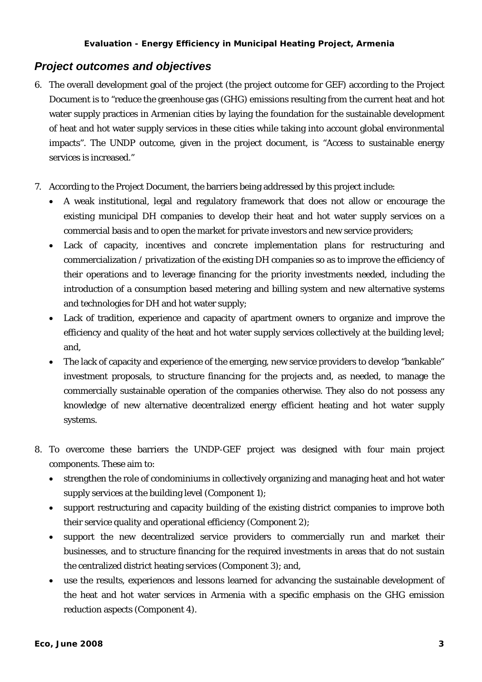### <span id="page-7-0"></span>*Project outcomes and objectives*

- 6. The overall development goal of the project (the project outcome for GEF) according to the Project Document is to "reduce the greenhouse gas (GHG) emissions resulting from the current heat and hot water supply practices in Armenian cities by laying the foundation for the sustainable development of heat and hot water supply services in these cities while taking into account global environmental impacts". The UNDP outcome, given in the project document, is "Access to sustainable energy services is increased."
- 7. According to the Project Document, the barriers being addressed by this project include:
	- A weak institutional, legal and regulatory framework that does not allow or encourage the existing municipal DH companies to develop their heat and hot water supply services on a commercial basis and to open the market for private investors and new service providers;
	- Lack of capacity, incentives and concrete implementation plans for restructuring and commercialization / privatization of the existing DH companies so as to improve the efficiency of their operations and to leverage financing for the priority investments needed, including the introduction of a consumption based metering and billing system and new alternative systems and technologies for DH and hot water supply;
	- Lack of tradition, experience and capacity of apartment owners to organize and improve the efficiency and quality of the heat and hot water supply services collectively at the building level; and,
	- The lack of capacity and experience of the emerging, new service providers to develop "bankable" investment proposals, to structure financing for the projects and, as needed, to manage the commercially sustainable operation of the companies otherwise. They also do not possess any knowledge of new alternative decentralized energy efficient heating and hot water supply systems.
- 8. To overcome these barriers the UNDP-GEF project was designed with four main project components. These aim to:
	- strengthen the role of condominiums in collectively organizing and managing heat and hot water supply services at the building level (Component 1);
	- support restructuring and capacity building of the existing district companies to improve both their service quality and operational efficiency (Component 2);
	- support the new decentralized service providers to commercially run and market their businesses, and to structure financing for the required investments in areas that do not sustain the centralized district heating services (Component 3); and,
	- use the results, experiences and lessons learned for advancing the sustainable development of the heat and hot water services in Armenia with a specific emphasis on the GHG emission reduction aspects (Component 4).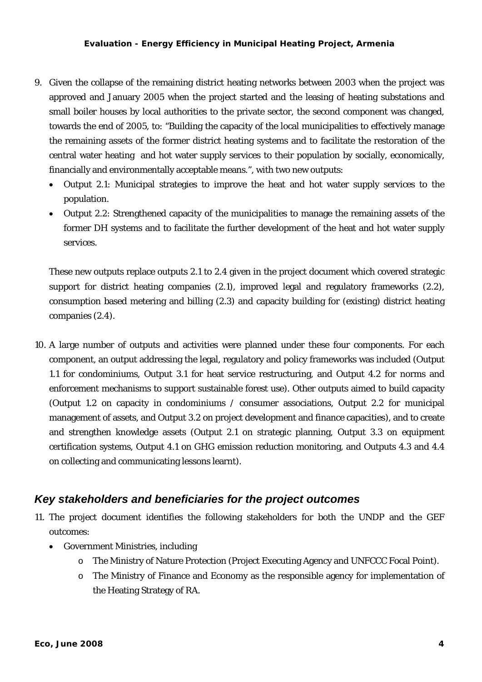- <span id="page-8-0"></span>9. Given the collapse of the remaining district heating networks between 2003 when the project was approved and January 2005 when the project started and the leasing of heating substations and small boiler houses by local authorities to the private sector, the second component was changed, towards the end of 2005, to: "Building the capacity of the local municipalities to effectively manage the remaining assets of the former district heating systems and to facilitate the restoration of the central water heating and hot water supply services to their population by socially, economically, financially and environmentally acceptable means.", with two new outputs:
	- Output 2.1: Municipal strategies to improve the heat and hot water supply services to the population.
	- Output 2.2: Strengthened capacity of the municipalities to manage the remaining assets of the former DH systems and to facilitate the further development of the heat and hot water supply services.

These new outputs replace outputs 2.1 to 2.4 given in the project document which covered strategic support for district heating companies (2.1), improved legal and regulatory frameworks (2.2), consumption based metering and billing (2.3) and capacity building for (existing) district heating companies (2.4).

10. A large number of outputs and activities were planned under these four components. For each component, an output addressing the legal, regulatory and policy frameworks was included (Output 1.1 for condominiums, Output 3.1 for heat service restructuring, and Output 4.2 for norms and enforcement mechanisms to support sustainable forest use). Other outputs aimed to build capacity (Output 1.2 on capacity in condominiums / consumer associations, Output 2.2 for municipal management of assets, and Output 3.2 on project development and finance capacities), and to create and strengthen knowledge assets (Output 2.1 on strategic planning, Output 3.3 on equipment certification systems, Output 4.1 on GHG emission reduction monitoring, and Outputs 4.3 and 4.4 on collecting and communicating lessons learnt).

### *Key stakeholders and beneficiaries for the project outcomes*

- 11. The project document identifies the following stakeholders for both the UNDP and the GEF outcomes:
	- Government Ministries, including
		- o The Ministry of Nature Protection (Project Executing Agency and UNFCCC Focal Point).
		- o The Ministry of Finance and Economy as the responsible agency for implementation of the Heating Strategy of RA.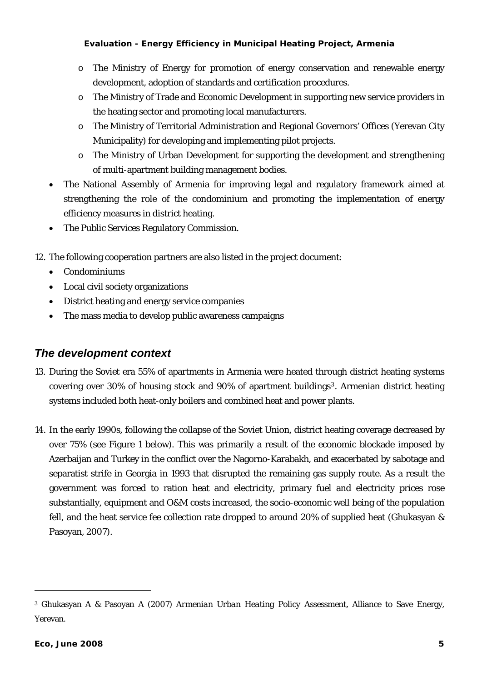- <span id="page-9-0"></span>o The Ministry of Energy for promotion of energy conservation and renewable energy development, adoption of standards and certification procedures.
- o The Ministry of Trade and Economic Development in supporting new service providers in the heating sector and promoting local manufacturers.
- o The Ministry of Territorial Administration and Regional Governors' Offices (Yerevan City Municipality) for developing and implementing pilot projects.
- o The Ministry of Urban Development for supporting the development and strengthening of multi-apartment building management bodies.
- The National Assembly of Armenia for improving legal and regulatory framework aimed at strengthening the role of the condominium and promoting the implementation of energy efficiency measures in district heating.
- The Public Services Regulatory Commission.
- 12. The following cooperation partners are also listed in the project document:
	- Condominiums
	- Local civil society organizations
	- District heating and energy service companies
	- The mass media to develop public awareness campaigns

### *The development context*

- 13. During the Soviet era 55% of apartments in Armenia were heated through district heating systems covering over 30% of housing stock and 90% of apartment buildings[3](#page-9-0). Armenian district heating systems included both heat-only boilers and combined heat and power plants.
- 14. In the early 1990s, following the collapse of the Soviet Union, district heating coverage decreased by over 75% (see [Figure 1](#page-10-0) [below](#page-10-0)). This was primarily a result of the economic blockade imposed by Azerbaijan and Turkey in the conflict over the Nagorno-Karabakh, and exacerbated by sabotage and separatist strife in Georgia in 1993 that disrupted the remaining gas supply route. As a result the government was forced to ration heat and electricity, primary fuel and electricity prices rose substantially, equipment and O&M costs increased, the socio-economic well being of the population fell, and the heat service fee collection rate dropped to around 20% of supplied heat (Ghukasyan & Pasoyan, 2007).

l

<sup>3</sup> Ghukasyan A & Pasoyan A (2007) *Armenian Urban Heating Policy Assessment*, Alliance to Save Energy, Yerevan.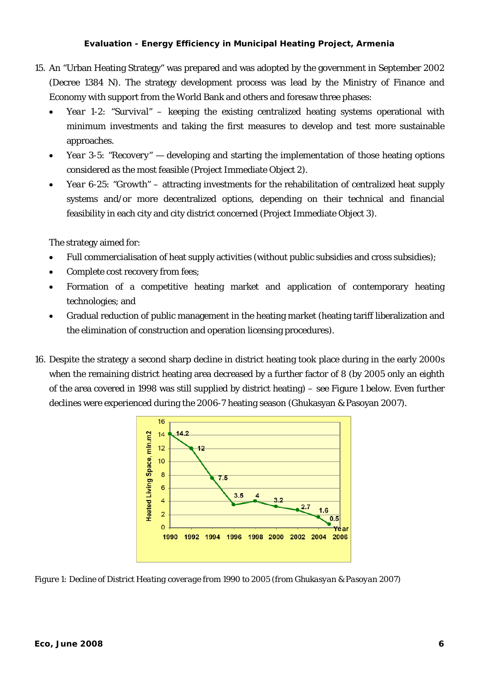- 15. An "Urban Heating Strategy" was prepared and was adopted by the government in September 2002 (Decree 1384 N). The strategy development process was lead by the Ministry of Finance and Economy with support from the World Bank and others and foresaw three phases:
	- *Year 1-2: "Survival"* keeping the existing centralized heating systems operational with minimum investments and taking the first measures to develop and test more sustainable approaches.
	- *Year 3-5: "Recovery"* developing and starting the implementation of those heating options considered as the most feasible (Project Immediate Object 2).
	- *Year 6-25: "Growth"* attracting investments for the rehabilitation of centralized heat supply systems and/or more decentralized options, depending on their technical and financial feasibility in each city and city district concerned (Project Immediate Object 3).

The strategy aimed for:

- Full commercialisation of heat supply activities (without public subsidies and cross subsidies);
- Complete cost recovery from fees;
- Formation of a competitive heating market and application of contemporary heating technologies; and
- Gradual reduction of public management in the heating market (heating tariff liberalization and the elimination of construction and operation licensing procedures).
- 16. Despite the strategy a second sharp decline in district heating took place during in the early 2000s when the remaining district heating area decreased by a further factor of 8 (by 2005 only an eighth of the area covered in 1998 was still supplied by district heating) – see [Figure 1](#page-10-0) [below.](#page-10-0) Even further declines were experienced during the 2006-7 heating season (Ghukasyan & Pasoyan 2007).



<span id="page-10-0"></span>*Figure 1: Decline of District Heating coverage from 1990 to 2005 (from Ghukasyan & Pasoyan 2007)*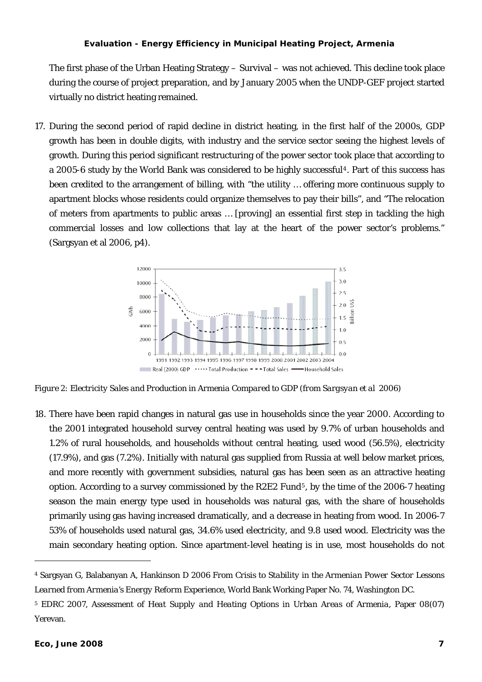<span id="page-11-0"></span>The first phase of the Urban Heating Strategy – Survival – was not achieved. This decline took place during the course of project preparation, and by January 2005 when the UNDP-GEF project started virtually no district heating remained.

<span id="page-11-1"></span>17. During the second period of rapid decline in district heating, in the first half of the 2000s, GDP growth has been in double digits, with industry and the service sector seeing the highest levels of growth. During this period significant restructuring of the power sector took place that according to a 2005-6 study by the World Bank was considered to be highly successful<sup>[4](#page-11-0)</sup>. Part of this success has been credited to the arrangement of billing, with "the utility … offering more continuous supply to apartment blocks whose residents could organize themselves to pay their bills", and "The relocation of meters from apartments to public areas … [proving] an essential first step in tackling the high commercial losses and low collections that lay at the heart of the power sector's problems." (Sargsyan et al 2006, p4).



*Figure 2: Electricity Sales and Production in Armenia Compared to GDP (from Sargsyan et al 2006)* 

18. There have been rapid changes in natural gas use in households since the year 2000. According to the 2001 integrated household survey central heating was used by 9.7% of urban households and 1.2% of rural households, and households without central heating, used wood (56.5%), electricity (17.9%), and gas (7.2%). Initially with natural gas supplied from Russia at well below market prices, and more recently with government subsidies, natural gas has been seen as an attractive heating option. According to a survey commissioned by the R2E2 Fund<sup>[5](#page-11-0)</sup>, by the time of the 2006-7 heating season the main energy type used in households was natural gas, with the share of households primarily using gas having increased dramatically, and a decrease in heating from wood. In 2006-7 53% of households used natural gas, 34.6% used electricity, and 9.8 used wood. Electricity was the main secondary heating option. Since apartment-level heating is in use, most households do not

l

<sup>4</sup> Sargsyan G, Balabanyan A, Hankinson D 2006 *From Crisis to Stability in the Armenian Power Sector Lessons Learned from Armenia's Energy Reform Experience,* World Bank Working Paper No. 74, Washington DC.

<sup>5</sup> EDRC 2007, *Assessment of Heat Supply and Heating Options in Urban Areas of Armenia*, Paper 08(07) Yerevan.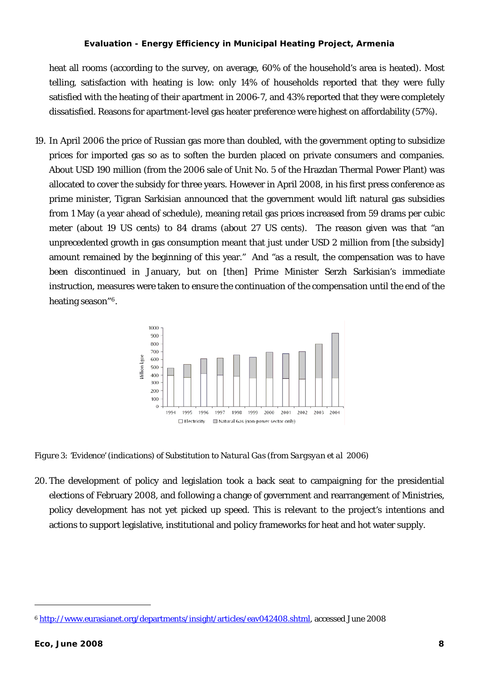<span id="page-12-0"></span>heat all rooms (according to the survey, on average, 60% of the household's area is heated). Most telling, satisfaction with heating is low: only 14% of households reported that they were fully satisfied with the heating of their apartment in 2006-7, and 43% reported that they were completely dissatisfied. Reasons for apartment-level gas heater preference were highest on affordability (57%).

19. In April 2006 the price of Russian gas more than doubled, with the government opting to subsidize prices for imported gas so as to soften the burden placed on private consumers and companies. About USD 190 million (from the 2006 sale of Unit No. 5 of the Hrazdan Thermal Power Plant) was allocated to cover the subsidy for three years. However in April 2008, in his first press conference as prime minister, Tigran Sarkisian announced that the government would lift natural gas subsidies from 1 May (a year ahead of schedule), meaning retail gas prices increased from 59 drams per cubic meter (about 19 US cents) to 84 drams (about 27 US cents). The reason given was that "an unprecedented growth in gas consumption meant that just under USD 2 million from [the subsidy] amount remained by the beginning of this year." And "as a result, the compensation was to have been discontinued in January, but on [then] Prime Minister Serzh Sarkisian's immediate instruction, measures were taken to ensure the continuation of the compensation until the end of the heating season"[6](#page-12-0).



<span id="page-12-1"></span>*Figure 3: 'Evidence' (indications) of Substitution to Natural Gas (from Sargsyan et al 2006)* 

20. The development of policy and legislation took a back seat to campaigning for the presidential elections of February 2008, and following a change of government and rearrangement of Ministries, policy development has not yet picked up speed. This is relevant to the project's intentions and actions to support legislative, institutional and policy frameworks for heat and hot water supply.

l

<sup>6</sup> <http://www.eurasianet.org/departments/insight/articles/eav042408.shtml>, accessed June 2008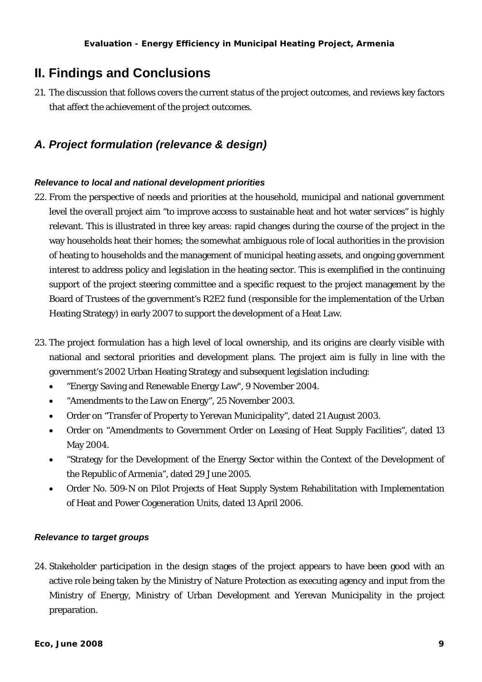### <span id="page-13-0"></span>**II. Findings and Conclusions**

21. The discussion that follows covers the current status of the project outcomes, and reviews key factors that affect the achievement of the project outcomes.

### *A. Project formulation (relevance & design)*

### *Relevance to local and national development priorities*

- 22. From the perspective of needs and priorities at the household, municipal and national government level the *overall* project aim "to improve access to sustainable heat and hot water services" is highly relevant. This is illustrated in three key areas: rapid changes during the course of the project in the way households heat their homes; the somewhat ambiguous role of local authorities in the provision of heating to households and the management of municipal heating assets, and ongoing government interest to address policy and legislation in the heating sector. This is exemplified in the continuing support of the project steering committee and a specific request to the project management by the Board of Trustees of the government's R2E2 fund (responsible for the implementation of the Urban Heating Strategy) in early 2007 to support the development of a Heat Law.
- 23. The project formulation has a high level of local ownership, and its origins are clearly visible with national and sectoral priorities and development plans. The project aim is fully in line with the government's 2002 Urban Heating Strategy and subsequent legislation including:
	- "Energy Saving and Renewable Energy Law", 9 November 2004.
	- "Amendments to the Law on Energy", 25 November 2003.
	- Order on "Transfer of Property to Yerevan Municipality", dated 21 August 2003.
	- Order on "Amendments to Government Order on Leasing of Heat Supply Facilities", dated 13 May 2004.
	- "Strategy for the Development of the Energy Sector within the Context of the Development of the Republic of Armenia", dated 29 June 2005.
	- Order No. 509-N on Pilot Projects of Heat Supply System Rehabilitation with Implementation of Heat and Power Cogeneration Units, dated 13 April 2006.

### *Relevance to target groups*

24. Stakeholder participation in the design stages of the project appears to have been good with an active role being taken by the Ministry of Nature Protection as executing agency and input from the Ministry of Energy, Ministry of Urban Development and Yerevan Municipality in the project preparation.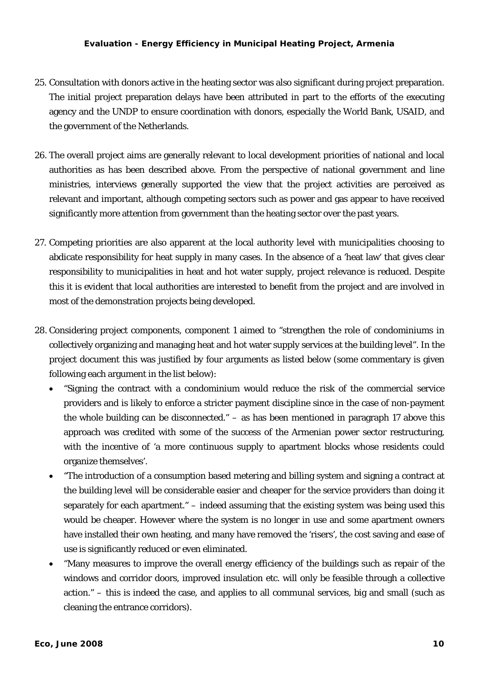- 25. Consultation with donors active in the heating sector was also significant during project preparation. The initial project preparation delays have been attributed in part to the efforts of the executing agency and the UNDP to ensure coordination with donors, especially the World Bank, USAID, and the government of the Netherlands.
- 26. The overall project aims are generally relevant to local development priorities of national and local authorities as has been described above. From the perspective of national government and line ministries, interviews generally supported the view that the project activities are perceived as relevant and important, although competing sectors such as power and gas appear to have received significantly more attention from government than the heating sector over the past years.
- 27. Competing priorities are also apparent at the local authority level with municipalities choosing to abdicate responsibility for heat supply in many cases. In the absence of a 'heat law' that gives clear responsibility to municipalities in heat and hot water supply, project relevance is reduced. Despite this it is evident that local authorities are interested to benefit from the project and are involved in most of the demonstration projects being developed.
- <span id="page-14-0"></span>28. Considering project components, component 1 aimed to "strengthen the role of condominiums in collectively organizing and managing heat and hot water supply services at the building level". In the project document this was justified by four arguments as listed below (some commentary is given following each argument in the list below):
	- "Signing the contract with a condominium would reduce the risk of the commercial service providers and is likely to enforce a stricter payment discipline since in the case of non-payment the whole building can be disconnected." – as has been mentioned in paragraph [17 above](#page-11-1) this approach was credited with some of the success of the Armenian power sector restructuring, with the incentive of 'a more continuous supply to apartment blocks whose residents could organize themselves'.
	- "The introduction of a consumption based metering and billing system and signing a contract at the building level will be considerable easier and cheaper for the service providers than doing it separately for each apartment." – indeed assuming that the existing system was being used this would be cheaper. However where the system is no longer in use and some apartment owners have installed their own heating, and many have removed the 'risers', the cost saving and ease of use is significantly reduced or even eliminated.
	- "Many measures to improve the overall energy efficiency of the buildings such as repair of the windows and corridor doors, improved insulation etc. will only be feasible through a collective action." – this is indeed the case, and applies to all communal services, big and small (such as cleaning the entrance corridors).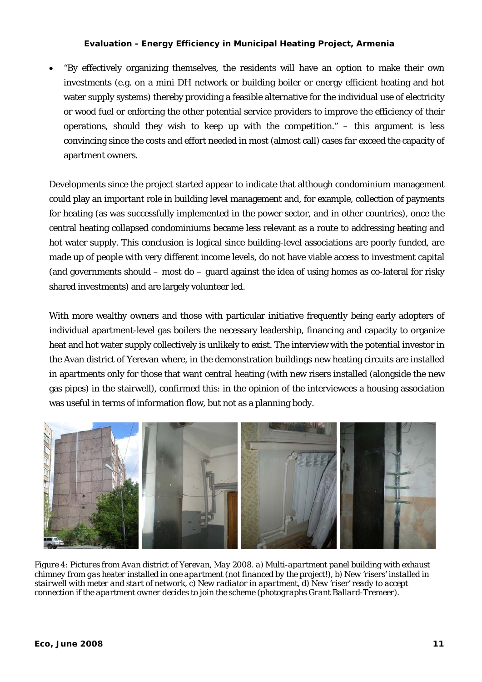• "By effectively organizing themselves, the residents will have an option to make their own investments (e.g. on a mini DH network or building boiler or energy efficient heating and hot water supply systems) thereby providing a feasible alternative for the individual use of electricity or wood fuel or enforcing the other potential service providers to improve the efficiency of their operations, should they wish to keep up with the competition." – this argument is less convincing since the costs and effort needed in most (almost call) cases *far* exceed the capacity of apartment owners.

Developments since the project started appear to indicate that although condominium management could play an important role in building level management and, for example, collection of payments for heating (as was successfully implemented in the power sector, and in other countries), once the central heating collapsed condominiums became less relevant as a route to addressing heating and hot water supply. This conclusion is logical since building-level associations are poorly funded, are made up of people with very different income levels, do not have viable access to investment capital (and governments should – most do – guard against the idea of using homes as co-lateral for risky shared investments) and are largely volunteer led.

With more wealthy owners and those with particular initiative frequently being early adopters of individual apartment-level gas boilers the necessary leadership, financing and capacity to organize heat and hot water supply collectively is unlikely to exist. The interview with the potential investor in the Avan district of Yerevan where, in the demonstration buildings new heating circuits are installed in apartments only for those that want central heating (with new risers installed (alongside the new gas pipes) in the stairwell), confirmed this: in the opinion of the interviewees a housing association was useful in terms of information flow, but not as a planning body.



*Figure 4: Pictures from Avan district of Yerevan, May 2008. a) Multi-apartment panel building with exhaust chimney from gas heater installed in one apartment (not financed by the project!), b) New 'risers' installed in stairwell with meter and start of network, c) New radiator in apartment, d) New 'riser' ready to accept connection if the apartment owner decides to join the scheme (photographs Grant Ballard-Tremeer).*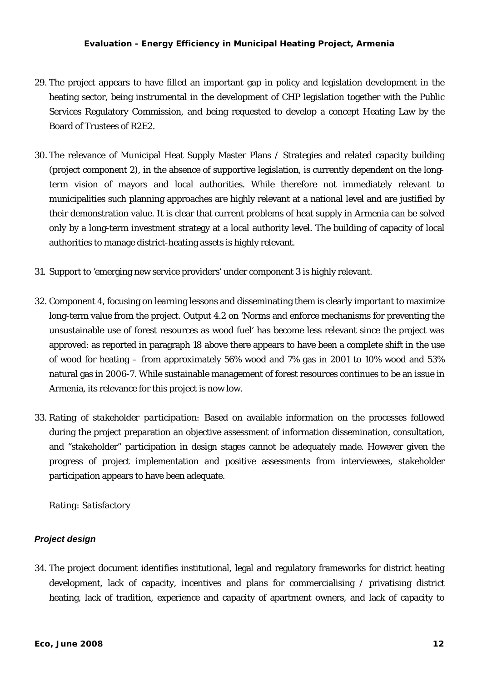- <span id="page-16-0"></span>29. The project appears to have filled an important gap in policy and legislation development in the heating sector, being instrumental in the development of CHP legislation together with the Public Services Regulatory Commission, and being requested to develop a concept Heating Law by the Board of Trustees of R2E2.
- 30. The relevance of Municipal Heat Supply Master Plans / Strategies and related capacity building (project component 2), in the absence of supportive legislation, is currently dependent on the longterm vision of mayors and local authorities. While therefore not immediately relevant to municipalities such planning approaches are highly relevant at a national level and are justified by their demonstration value. It is clear that current problems of heat supply in Armenia can be solved only by a long-term investment strategy at a local authority level. The building of capacity of local authorities to manage district-heating assets is highly relevant.
- 31. Support to 'emerging new service providers' under component 3 is highly relevant.
- 32. Component 4, focusing on learning lessons and disseminating them is clearly important to maximize long-term value from the project. Output 4.2 on 'Norms and enforce mechanisms for preventing the unsustainable use of forest resources as wood fuel' has become less relevant since the project was approved: as reported in paragraph [18 above](#page-12-1) there appears to have been a complete shift in the use of wood for heating – from approximately 56% wood and 7% gas in 2001 to 10% wood and 53% natural gas in 2006-7. While sustainable management of forest resources continues to be an issue in Armenia, its relevance for this project is now low.
- 33. *Rating of stakeholder participation:* Based on available information on the processes followed during the project preparation an objective assessment of information dissemination, consultation, and "stakeholder" participation in design stages cannot be adequately made. However given the progress of project implementation and positive assessments from interviewees, stakeholder participation appears to have been adequate.

*Rating: Satisfactory* 

### *Project design*

34. The project document identifies institutional, legal and regulatory frameworks for district heating development, lack of capacity, incentives and plans for commercialising / privatising district heating, lack of tradition, experience and capacity of apartment owners, and lack of capacity to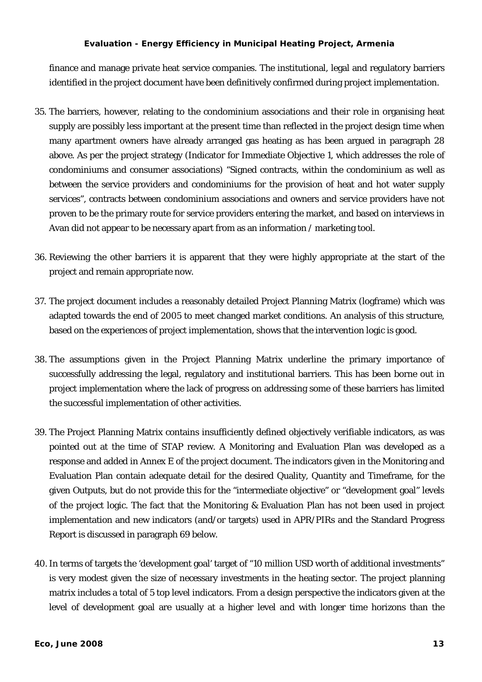finance and manage private heat service companies. The institutional, legal and regulatory barriers identified in the project document have been definitively confirmed during project implementation.

- 35. The barriers, however, relating to the condominium associations and their role in organising heat supply are possibly less important at the present time than reflected in the project design time when many apartment owners have already arranged gas heating as has been argued in paragraph [28](#page-14-0)  [above.](#page-14-0) As per the project strategy (Indicator for Immediate Objective 1, which addresses the role of condominiums and consumer associations) "Signed contracts, within the condominium as well as between the service providers and condominiums for the provision of heat and hot water supply services", contracts between condominium associations and owners and service providers have not proven to be the primary route for service providers entering the market, and based on interviews in Avan did not appear to be necessary apart from as an information / marketing tool.
- 36. Reviewing the other barriers it is apparent that they were highly appropriate at the start of the project and remain appropriate now.
- 37. The project document includes a reasonably detailed Project Planning Matrix (logframe) which was adapted towards the end of 2005 to meet changed market conditions. An analysis of this structure, based on the experiences of project implementation, shows that the intervention logic is good.
- 38. The assumptions given in the Project Planning Matrix underline the primary importance of successfully addressing the legal, regulatory and institutional barriers. This has been borne out in project implementation where the lack of progress on addressing some of these barriers has limited the successful implementation of other activities.
- 39. The Project Planning Matrix contains insufficiently defined objectively verifiable indicators, as was pointed out at the time of STAP review. A Monitoring and Evaluation Plan was developed as a response and added in Annex E of the project document. The indicators given in the Monitoring and Evaluation Plan contain adequate detail for the desired Quality, Quantity and Timeframe, for the given Outputs, but do not provide this for the "intermediate objective" or "development goal" levels of the project logic. The fact that the Monitoring & Evaluation Plan has not been used in project implementation and new indicators (and/or targets) used in APR/PIRs and the Standard Progress Report is discussed in paragraph [69 below.](#page-22-0)
- 40. In terms of targets the 'development goal' target of "10 million USD worth of additional investments" is very modest given the size of necessary investments in the heating sector. The project planning matrix includes a total of 5 top level indicators. From a design perspective the indicators given at the level of development goal are usually at a higher level and with longer time horizons than the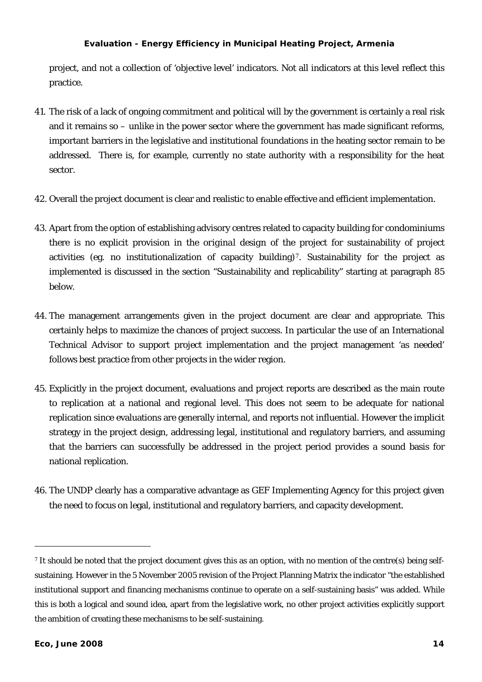<span id="page-18-0"></span>project, and not a collection of 'objective level' indicators. Not all indicators at this level reflect this practice.

- 41. The risk of a lack of ongoing commitment and political will by the government is certainly a real risk and it remains so – unlike in the power sector where the government has made significant reforms, important barriers in the legislative and institutional foundations in the heating sector remain to be addressed. There is, for example, currently no state authority with a responsibility for the heat sector.
- 42. Overall the project document is clear and realistic to enable effective and efficient implementation.
- 43. Apart from the option of establishing advisory centres related to capacity building for condominiums there is no *explicit* provision in the *original design* of the project for sustainability of project activities (eg. no institutionalization of capacity building)<sup>[7](#page-18-0)</sup>. Sustainability for the project as implemented is discussed in the section "Sustainability and replicability" starting at paragraph [85](#page-32-1)  [below](#page-32-1).
- 44. The management arrangements given in the project document are clear and appropriate. This certainly helps to maximize the chances of project success. In particular the use of an International Technical Advisor to support project implementation and the project management 'as needed' follows best practice from other projects in the wider region.
- 45. Explicitly in the project document, evaluations and project reports are described as the main route to replication at a national and regional level. This does not seem to be adequate for national replication since evaluations are generally internal, and reports not influential. However the implicit strategy in the project design, addressing legal, institutional and regulatory barriers, and assuming that the barriers can successfully be addressed in the project period provides a sound basis for national replication.
- 46. The UNDP clearly has a comparative advantage as GEF Implementing Agency for this project given the need to focus on legal, institutional and regulatory barriers, and capacity development.

 $\overline{a}$ 

<sup>&</sup>lt;sup>7</sup> It should be noted that the project document gives this as an option, with no mention of the centre(s) being selfsustaining. However in the 5 November 2005 revision of the Project Planning Matrix the indicator "the established institutional support and financing mechanisms continue to operate on a self-sustaining basis" was added. While this is both a logical and sound idea, apart from the legislative work, no other project activities explicitly support the ambition of creating these mechanisms to be self-sustaining.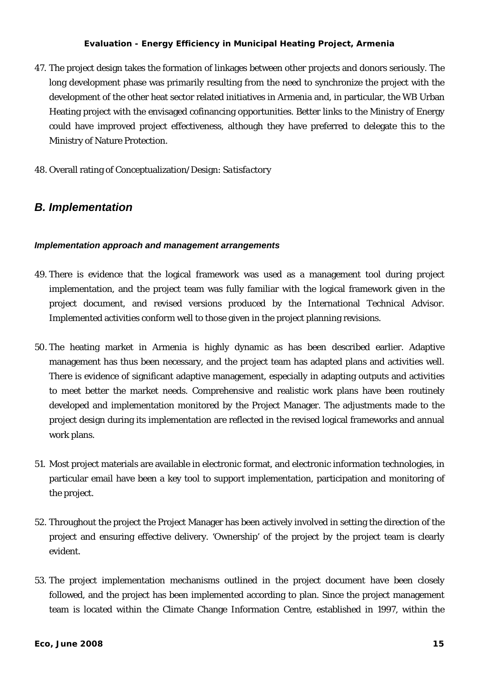- <span id="page-19-0"></span>47. The project design takes the formation of linkages between other projects and donors seriously. The long development phase was primarily resulting from the need to synchronize the project with the development of the other heat sector related initiatives in Armenia and, in particular, the WB Urban Heating project with the envisaged cofinancing opportunities. Better links to the Ministry of Energy could have improved project effectiveness, although they have preferred to delegate this to the Ministry of Nature Protection.
- 48. Overall rating of Conceptualization/Design: *Satisfactory*

### *B. Implementation*

#### *Implementation approach and management arrangements*

- 49. There is evidence that the logical framework was used as a management tool during project implementation, and the project team was fully familiar with the logical framework given in the project document, and revised versions produced by the International Technical Advisor. Implemented activities conform well to those given in the project planning revisions.
- 50. The heating market in Armenia is highly dynamic as has been described earlier. Adaptive management has thus been necessary, and the project team has adapted plans and activities well. There is evidence of significant adaptive management, especially in adapting outputs and activities to meet better the market needs. Comprehensive and realistic work plans have been routinely developed and implementation monitored by the Project Manager. The adjustments made to the project design during its implementation are reflected in the revised logical frameworks and annual work plans.
- 51. Most project materials are available in electronic format, and electronic information technologies, in particular email have been a key tool to support implementation, participation and monitoring of the project.
- 52. Throughout the project the Project Manager has been actively involved in setting the direction of the project and ensuring effective delivery. 'Ownership' of the project by the project team is clearly evident.
- 53. The project implementation mechanisms outlined in the project document have been closely followed, and the project has been implemented according to plan. Since the project management team is located within the Climate Change Information Centre, established in 1997, within the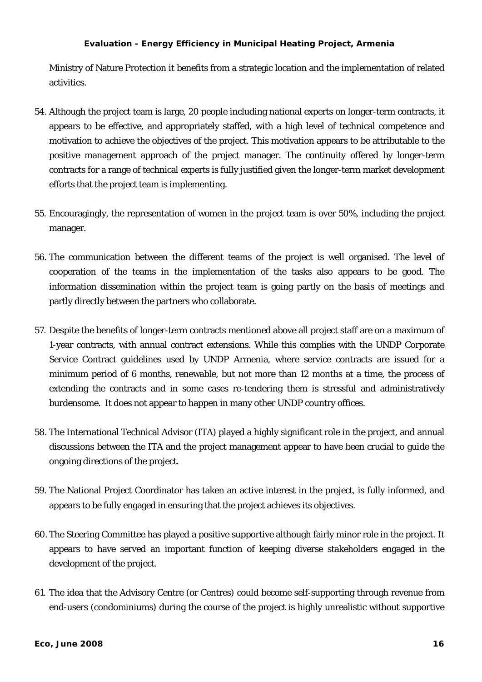Ministry of Nature Protection it benefits from a strategic location and the implementation of related activities.

- 54. Although the project team is large, 20 people including national experts on longer-term contracts, it appears to be effective, and appropriately staffed, with a high level of technical competence and motivation to achieve the objectives of the project. This motivation appears to be attributable to the positive management approach of the project manager. The continuity offered by longer-term contracts for a range of technical experts is fully justified given the longer-term market development efforts that the project team is implementing.
- 55. Encouragingly, the representation of women in the project team is over 50%, including the project manager.
- 56. The communication between the different teams of the project is well organised. The level of cooperation of the teams in the implementation of the tasks also appears to be good. The information dissemination within the project team is going partly on the basis of meetings and partly directly between the partners who collaborate.
- 57. Despite the benefits of longer-term contracts mentioned above all project staff are on a maximum of 1-year contracts, with annual contract extensions. While this complies with the UNDP Corporate Service Contract guidelines used by UNDP Armenia, where service contracts are issued for a minimum period of 6 months, renewable, but not more than 12 months at a time, the process of extending the contracts and in some cases re-tendering them is stressful and administratively burdensome. It does not appear to happen in many other UNDP country offices.
- 58. The International Technical Advisor (ITA) played a highly significant role in the project, and annual discussions between the ITA and the project management appear to have been crucial to guide the ongoing directions of the project.
- 59. The National Project Coordinator has taken an active interest in the project, is fully informed, and appears to be fully engaged in ensuring that the project achieves its objectives.
- 60. The Steering Committee has played a positive supportive although fairly minor role in the project. It appears to have served an important function of keeping diverse stakeholders engaged in the development of the project.
- 61. The idea that the Advisory Centre (or Centres) could become self-supporting through revenue from end-users (condominiums) during the course of the project is highly unrealistic without supportive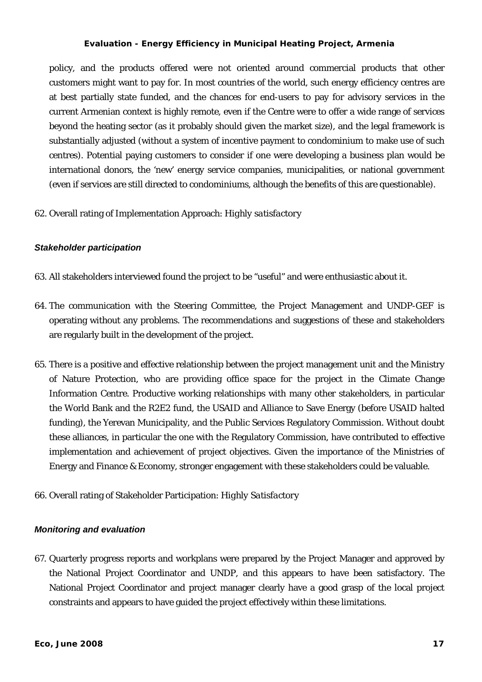<span id="page-21-0"></span>policy, and the products offered were not oriented around commercial products that other customers might want to pay for. In most countries of the world, such energy efficiency centres are at best partially state funded, and the chances for end-users to pay for advisory services in the current Armenian context is highly remote, even if the Centre were to offer a wide range of services beyond the heating sector (as it probably should given the market size), and the legal framework is substantially adjusted (without a system of incentive payment to condominium to make use of such centres). Potential paying customers to consider if one were developing a business plan would be international donors, the 'new' energy service companies, municipalities, or national government (even if services are still directed to condominiums, although the benefits of this are questionable).

62. Overall rating of Implementation Approach: *Highly satisfactory*

### *Stakeholder participation*

- 63. All stakeholders interviewed found the project to be "useful" and were enthusiastic about it.
- 64. The communication with the Steering Committee, the Project Management and UNDP-GEF is operating without any problems. The recommendations and suggestions of these and stakeholders are regularly built in the development of the project.
- 65. There is a positive and effective relationship between the project management unit and the Ministry of Nature Protection, who are providing office space for the project in the Climate Change Information Centre. Productive working relationships with many other stakeholders, in particular the World Bank and the R2E2 fund, the USAID and Alliance to Save Energy (before USAID halted funding), the Yerevan Municipality, and the Public Services Regulatory Commission. Without doubt these alliances, in particular the one with the Regulatory Commission, have contributed to effective implementation and achievement of project objectives. Given the importance of the Ministries of Energy and Finance & Economy, stronger engagement with these stakeholders could be valuable.
- 66. Overall rating of Stakeholder Participation: *Highly Satisfactory*

#### *Monitoring and evaluation*

67. Quarterly progress reports and workplans were prepared by the Project Manager and approved by the National Project Coordinator and UNDP, and this appears to have been satisfactory. The National Project Coordinator and project manager clearly have a good grasp of the local project constraints and appears to have guided the project effectively within these limitations.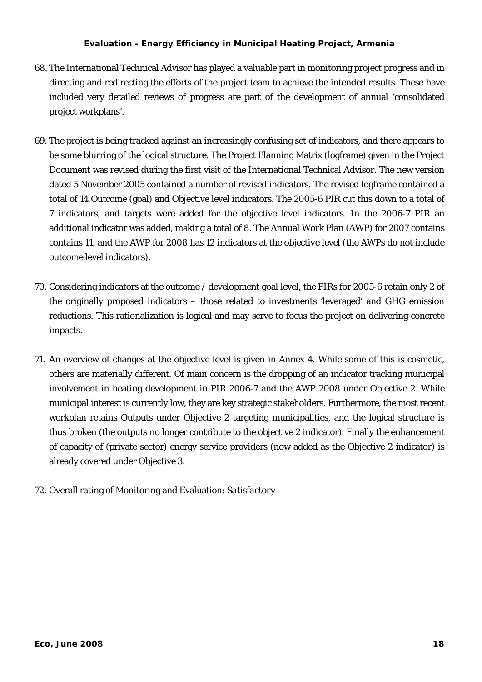- 68. The International Technical Advisor has played a valuable part in monitoring project progress and in directing and redirecting the efforts of the project team to achieve the intended results. These have included very detailed reviews of progress are part of the development of annual 'consolidated project workplans'.
- <span id="page-22-0"></span>69. The project is being tracked against an increasingly confusing set of indicators, and there appears to be some blurring of the logical structure. The Project Planning Matrix (logframe) given in the Project Document was revised during the first visit of the International Technical Advisor. The new version dated 5 November 2005 contained a number of revised indicators. The revised logframe contained a total of 14 Outcome (goal) and Objective level indicators. The 2005-6 PIR cut this down to a total of 7 indicators, and targets were added for the objective level indicators. In the 2006-7 PIR an additional indicator was added, making a total of 8. The Annual Work Plan (AWP) for 2007 contains contains 11, and the AWP for 2008 has 12 indicators at the *objective* level (the AWPs do not include outcome level indicators).
- 70. Considering indicators at the outcome / development goal level, the PIRs for 2005-6 retain only 2 of the originally proposed indicators – those related to investments 'leveraged' and GHG emission reductions. This rationalization is logical and may serve to focus the project on delivering concrete impacts.
- 71. An overview of changes at the objective level is given in Annex 4. While some of this is cosmetic, others are materially different. Of main concern is the dropping of an indicator tracking municipal involvement in heating development in PIR 2006-7 and the AWP 2008 under Objective 2. While municipal interest is currently low, they are key strategic stakeholders. Furthermore, the most recent workplan retains Outputs under Objective 2 targeting municipalities, and the logical structure is thus broken (the outputs no longer contribute to the objective 2 indicator). Finally the enhancement of capacity of (private sector) energy service providers (now added as the Objective 2 indicator) is already covered under Objective 3.
- 72. Overall rating of Monitoring and Evaluation: *Satisfactory*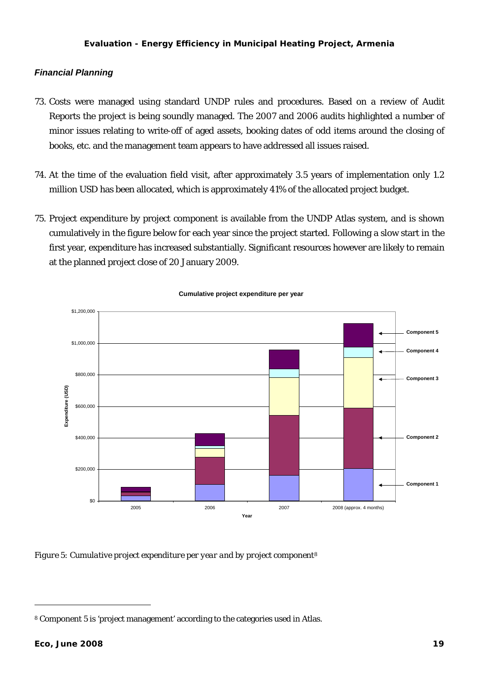### <span id="page-23-0"></span>*Financial Planning*

- 73. Costs were managed using standard UNDP rules and procedures. Based on a review of Audit Reports the project is being soundly managed. The 2007 and 2006 audits highlighted a number of minor issues relating to write-off of aged assets, booking dates of odd items around the closing of books, etc. and the management team appears to have addressed all issues raised.
- 74. At the time of the evaluation field visit, after approximately 3.5 years of implementation only 1.2 million USD has been allocated, which is approximately 41% of the allocated project budget.
- 75. Project expenditure by project component is available from the UNDP Atlas system, and is shown cumulatively in the figure below for each year since the project started. Following a slow start in the first year, expenditure has increased substantially. Significant resources however are likely to remain at the planned project close of 20 January 2009.



**Cumulative project expenditure per year**

*Figure 5: Cumulative project expenditure per year and by project component[8](#page-23-0)*

l

<sup>8</sup> Component 5 is 'project management' according to the categories used in Atlas.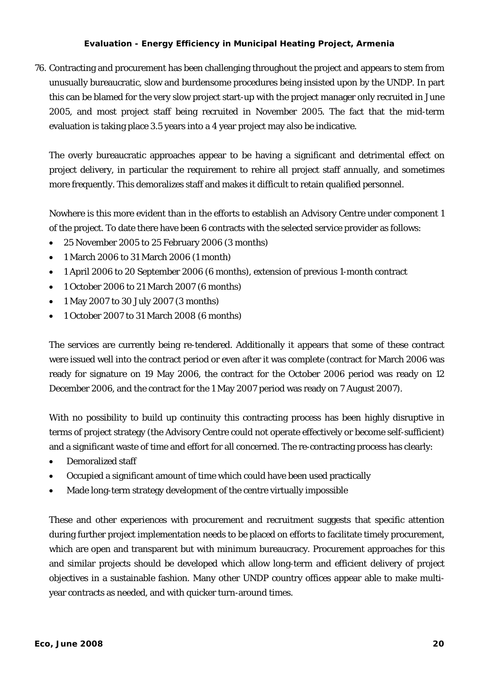76. Contracting and procurement has been challenging throughout the project and appears to stem from unusually bureaucratic, slow and burdensome procedures being insisted upon by the UNDP. In part this can be blamed for the very slow project start-up with the project manager only recruited in June 2005, and most project staff being recruited in November 2005. The fact that the mid-term evaluation is taking place 3.5 years into a 4 year project may also be indicative.

The overly bureaucratic approaches appear to be having a significant and detrimental effect on project delivery, in particular the requirement to rehire all project staff annually, and sometimes more frequently. This demoralizes staff and makes it difficult to retain qualified personnel.

Nowhere is this more evident than in the efforts to establish an Advisory Centre under component 1 of the project. To date there have been 6 contracts with the selected service provider as follows:

- 25 November 2005 to 25 February 2006 (3 months)
- 1 March 2006 to 31 March 2006 (1 month)
- 1 April 2006 to 20 September 2006 (6 months), extension of previous 1-month contract
- 1 October 2006 to 21 March 2007 (6 months)
- 1 May 2007 to 30 July 2007 (3 months)
- 1 October 2007 to 31 March 2008 (6 months)

The services are currently being re-tendered. Additionally it appears that some of these contract were issued well into the contract period or even after it was complete (contract for March 2006 was ready for signature on 19 May 2006, the contract for the October 2006 period was ready on 12 December 2006, and the contract for the 1 May 2007 period was ready on 7 August 2007).

With no possibility to build up continuity this contracting process has been highly disruptive in terms of project strategy (the Advisory Centre could not operate effectively or become self-sufficient) and a significant waste of time and effort for all concerned. The re-contracting process has clearly:

- Demoralized staff
- Occupied a significant amount of time which could have been used practically
- Made long-term strategy development of the centre virtually impossible

These and other experiences with procurement and recruitment suggests that specific attention during further project implementation needs to be placed on efforts to facilitate timely procurement, which are open and transparent but with minimum bureaucracy. Procurement approaches for this and similar projects should be developed which allow long-term and efficient delivery of project objectives in a sustainable fashion. Many other UNDP country offices appear able to make multiyear contracts as needed, and with quicker turn-around times.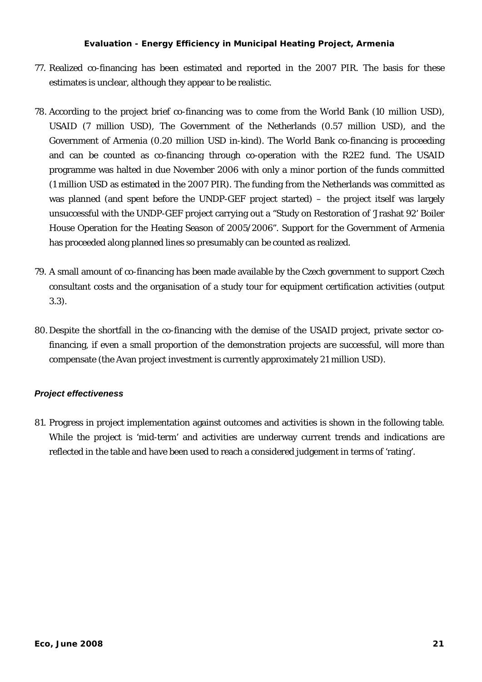- <span id="page-25-0"></span>77. Realized co-financing has been estimated and reported in the 2007 PIR. The basis for these estimates is unclear, although they appear to be realistic.
- 78. According to the project brief co-financing was to come from the World Bank (10 million USD), USAID (7 million USD), The Government of the Netherlands (0.57 million USD), and the Government of Armenia (0.20 million USD in-kind). The World Bank co-financing is proceeding and can be counted as co-financing through co-operation with the R2E2 fund. The USAID programme was halted in due November 2006 with only a minor portion of the funds committed (1 million USD as estimated in the 2007 PIR). The funding from the Netherlands was committed as was planned (and spent before the UNDP-GEF project started) – the project itself was largely unsuccessful with the UNDP-GEF project carrying out a "Study on Restoration of 'Jrashat 92' Boiler House Operation for the Heating Season of 2005/2006". Support for the Government of Armenia has proceeded along planned lines so presumably can be counted as realized.
- 79. A small amount of co-financing has been made available by the Czech government to support Czech consultant costs and the organisation of a study tour for equipment certification activities (output 3.3).
- 80. Despite the shortfall in the co-financing with the demise of the USAID project, private sector cofinancing, if even a small proportion of the demonstration projects are successful, will more than compensate (the Avan project investment is currently approximately 21 million USD).

### *Project effectiveness*

81. Progress in project implementation against outcomes and activities is shown in the following table. While the project is 'mid-term' and activities are underway current trends and indications are reflected in the table and have been used to reach a considered judgement in terms of 'rating'.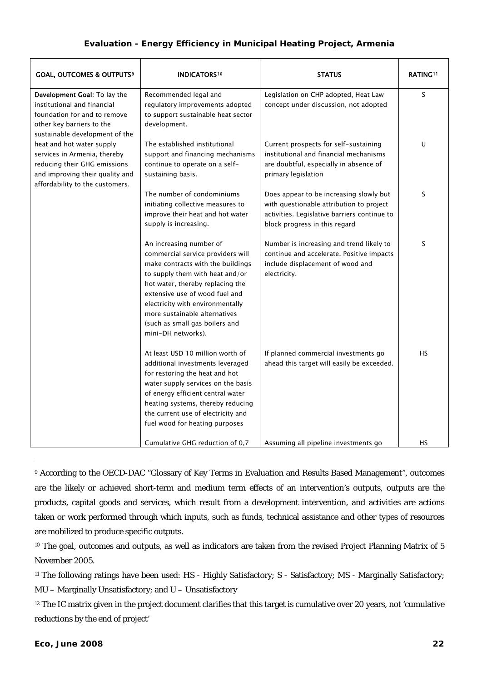<span id="page-26-0"></span>

| <b>GOAL, OUTCOMES &amp; OUTPUTS<sup>9</sup></b>                                                                                                                 | <b>INDICATORS10</b>                                                                                                                                                                                                                                                                                                                     | <b>STATUS</b>                                                                                                                                                        | <b>RATING!!</b> |
|-----------------------------------------------------------------------------------------------------------------------------------------------------------------|-----------------------------------------------------------------------------------------------------------------------------------------------------------------------------------------------------------------------------------------------------------------------------------------------------------------------------------------|----------------------------------------------------------------------------------------------------------------------------------------------------------------------|-----------------|
| Development Goal: To lay the<br>institutional and financial<br>foundation for and to remove<br>other key barriers to the<br>sustainable development of the      | Recommended legal and<br>regulatory improvements adopted<br>to support sustainable heat sector<br>development.                                                                                                                                                                                                                          | Legislation on CHP adopted, Heat Law<br>concept under discussion, not adopted                                                                                        | S               |
| heat and hot water supply<br>services in Armenia, thereby<br>reducing their GHG emissions<br>and improving their quality and<br>affordability to the customers. | The established institutional<br>support and financing mechanisms<br>continue to operate on a self-<br>sustaining basis.                                                                                                                                                                                                                | Current prospects for self-sustaining<br>institutional and financial mechanisms<br>are doubtful, especially in absence of<br>primary legislation                     | U               |
|                                                                                                                                                                 | The number of condominiums<br>initiating collective measures to<br>improve their heat and hot water<br>supply is increasing.                                                                                                                                                                                                            | Does appear to be increasing slowly but<br>with questionable attribution to project<br>activities. Legislative barriers continue to<br>block progress in this regard | S               |
|                                                                                                                                                                 | An increasing number of<br>commercial service providers will<br>make contracts with the buildings<br>to supply them with heat and/or<br>hot water, thereby replacing the<br>extensive use of wood fuel and<br>electricity with environmentally<br>more sustainable alternatives<br>(such as small gas boilers and<br>mini-DH networks). | Number is increasing and trend likely to<br>continue and accelerate. Positive impacts<br>include displacement of wood and<br>electricity.                            | S               |
|                                                                                                                                                                 | At least USD 10 million worth of<br>additional investments leveraged<br>for restoring the heat and hot<br>water supply services on the basis<br>of energy efficient central water<br>heating systems, thereby reducing<br>the current use of electricity and<br>fuel wood for heating purposes                                          | If planned commercial investments go<br>ahead this target will easily be exceeded.                                                                                   | <b>HS</b>       |
|                                                                                                                                                                 | Cumulative GHG reduction of 0,7                                                                                                                                                                                                                                                                                                         | Assuming all pipeline investments go                                                                                                                                 | HS              |

9 According to the OECD-DAC "Glossary of Key Terms in Evaluation and Results Based Management", outcomes are the likely or achieved short-term and medium term effects of an intervention's outputs, outputs are the products, capital goods and services, which result from a development intervention, and activities are actions taken or work performed through which inputs, such as funds, technical assistance and other types of resources are mobilized to produce specific outputs.

<sup>10</sup> The goal, outcomes and outputs, as well as indicators are taken from the revised Project Planning Matrix of 5 November 2005.

<sup>11</sup> The following ratings have been used: HS - Highly Satisfactory; S - Satisfactory; MS - Marginally Satisfactory; MU – Marginally Unsatisfactory; and U – Unsatisfactory

<sup>12</sup> The IC matrix given in the project document clarifies that this target is cumulative over 20 years, not 'cumulative reductions by the end of project'

 $\overline{a}$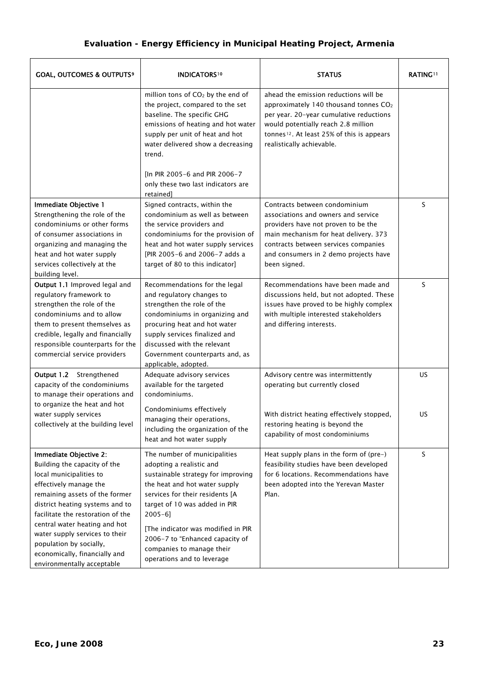<span id="page-27-0"></span>

| <b>GOAL, OUTCOMES &amp; OUTPUTS<sup>9</sup></b>                                                                                                                                                                                                                                                                                                                                    | <b>INDICATORS</b> <sup>10</sup>                                                                                                                                                                                                                                                                                                                         | <b>STATUS</b>                                                                                                                                                                                                                                             | <b>RATING!!</b> |
|------------------------------------------------------------------------------------------------------------------------------------------------------------------------------------------------------------------------------------------------------------------------------------------------------------------------------------------------------------------------------------|---------------------------------------------------------------------------------------------------------------------------------------------------------------------------------------------------------------------------------------------------------------------------------------------------------------------------------------------------------|-----------------------------------------------------------------------------------------------------------------------------------------------------------------------------------------------------------------------------------------------------------|-----------------|
|                                                                                                                                                                                                                                                                                                                                                                                    | million tons of CO <sub>2</sub> by the end of<br>the project, compared to the set<br>baseline. The specific GHG<br>emissions of heating and hot water<br>supply per unit of heat and hot<br>water delivered show a decreasing<br>trend.<br>[In PIR 2005-6 and PIR 2006-7<br>only these two last indicators are                                          | ahead the emission reductions will be<br>approximately 140 thousand tonnes $CO2$<br>per year. 20-year cumulative reductions<br>would potentially reach 2.8 million<br>tonnes <sup>12</sup> . At least 25% of this is appears<br>realistically achievable. |                 |
| Immediate Objective 1<br>Strengthening the role of the<br>condominiums or other forms<br>of consumer associations in<br>organizing and managing the<br>heat and hot water supply<br>services collectively at the<br>building level.                                                                                                                                                | retained]<br>Signed contracts, within the<br>condominium as well as between<br>the service providers and<br>condominiums for the provision of<br>heat and hot water supply services<br>[PIR 2005-6 and 2006-7 adds a<br>target of 80 to this indicator]                                                                                                 | Contracts between condominium<br>associations and owners and service<br>providers have not proven to be the<br>main mechanism for heat delivery. 373<br>contracts between services companies<br>and consumers in 2 demo projects have<br>been signed.     | S               |
| Output 1.1 Improved legal and<br>regulatory framework to<br>strengthen the role of the<br>condominiums and to allow<br>them to present themselves as<br>credible, legally and financially<br>responsible counterparts for the<br>commercial service providers                                                                                                                      | Recommendations for the legal<br>and regulatory changes to<br>strengthen the role of the<br>condominiums in organizing and<br>procuring heat and hot water<br>supply services finalized and<br>discussed with the relevant<br>Government counterparts and, as<br>applicable, adopted.                                                                   | Recommendations have been made and<br>discussions held, but not adopted. These<br>issues have proved to be highly complex<br>with multiple interested stakeholders<br>and differing interests.                                                            | S               |
| Output 1.2 Strengthened<br>capacity of the condominiums<br>to manage their operations and<br>to organize the heat and hot                                                                                                                                                                                                                                                          | Adequate advisory services<br>available for the targeted<br>condominiums.<br>Condominiums effectively                                                                                                                                                                                                                                                   | Advisory centre was intermittently<br>operating but currently closed                                                                                                                                                                                      | <b>US</b>       |
| water supply services<br>collectively at the building level                                                                                                                                                                                                                                                                                                                        | managing their operations,<br>including the organization of the<br>heat and hot water supply                                                                                                                                                                                                                                                            | With district heating effectively stopped,<br>restoring heating is beyond the<br>capability of most condominiums                                                                                                                                          | US              |
| Immediate Objective 2:<br>Building the capacity of the<br>local municipalities to<br>effectively manage the<br>remaining assets of the former<br>district heating systems and to<br>facilitate the restoration of the<br>central water heating and hot<br>water supply services to their<br>population by socially,<br>economically, financially and<br>environmentally acceptable | The number of municipalities<br>adopting a realistic and<br>sustainable strategy for improving<br>the heat and hot water supply<br>services for their residents [A<br>target of 10 was added in PIR<br>$2005 - 6$ ]<br>[The indicator was modified in PIR<br>2006-7 to "Enhanced capacity of<br>companies to manage their<br>operations and to leverage | Heat supply plans in the form of (pre-)<br>feasibility studies have been developed<br>for 6 locations. Recommendations have<br>been adopted into the Yerevan Master<br>Plan.                                                                              | S               |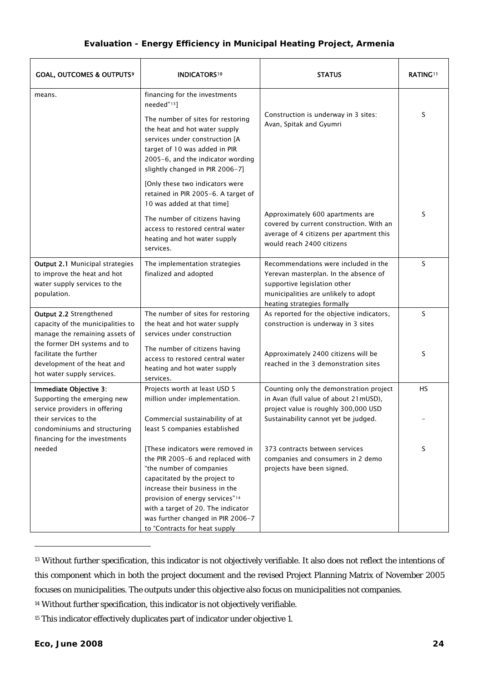<span id="page-28-0"></span>

| <b>GOAL, OUTCOMES &amp; OUTPUTS<sup>9</sup></b><br><b>INDICATORS</b> <sup>10</sup>                                   |                                                                                                                                                                                                                                                                                                                                | <b>STATUS</b>                                                                                                                                                                        | <b>RATING!!</b> |
|----------------------------------------------------------------------------------------------------------------------|--------------------------------------------------------------------------------------------------------------------------------------------------------------------------------------------------------------------------------------------------------------------------------------------------------------------------------|--------------------------------------------------------------------------------------------------------------------------------------------------------------------------------------|-----------------|
| means.                                                                                                               | financing for the investments<br>needed" <sup>13</sup> ]                                                                                                                                                                                                                                                                       |                                                                                                                                                                                      |                 |
|                                                                                                                      | The number of sites for restoring<br>the heat and hot water supply<br>services under construction [A<br>target of 10 was added in PIR<br>2005-6, and the indicator wording<br>slightly changed in PIR 2006-7]                                                                                                                  | Construction is underway in 3 sites:<br>Avan, Spitak and Gyumri                                                                                                                      | S               |
|                                                                                                                      | [Only these two indicators were<br>retained in PIR 2005-6. A target of<br>10 was added at that time]                                                                                                                                                                                                                           |                                                                                                                                                                                      |                 |
|                                                                                                                      | The number of citizens having<br>access to restored central water<br>heating and hot water supply<br>services.                                                                                                                                                                                                                 | Approximately 600 apartments are<br>covered by current construction. With an<br>average of 4 citizens per apartment this<br>would reach 2400 citizens                                | S               |
| <b>Output 2.1 Municipal strategies</b><br>to improve the heat and hot<br>water supply services to the<br>population. | The implementation strategies<br>finalized and adopted                                                                                                                                                                                                                                                                         | Recommendations were included in the<br>Yerevan masterplan. In the absence of<br>supportive legislation other<br>municipalities are unlikely to adopt<br>heating strategies formally | S               |
| Output 2.2 Strengthened<br>capacity of the municipalities to<br>manage the remaining assets of                       | The number of sites for restoring<br>the heat and hot water supply<br>services under construction                                                                                                                                                                                                                              | As reported for the objective indicators,<br>construction is underway in 3 sites                                                                                                     | S               |
| the former DH systems and to<br>facilitate the further<br>development of the heat and<br>hot water supply services.  | The number of citizens having<br>access to restored central water<br>heating and hot water supply<br>services.                                                                                                                                                                                                                 | Approximately 2400 citizens will be<br>reached in the 3 demonstration sites                                                                                                          | S               |
| Immediate Objective 3:<br>Supporting the emerging new<br>service providers in offering                               | Projects worth at least USD 5<br>million under implementation.                                                                                                                                                                                                                                                                 | Counting only the demonstration project<br>in Avan (full value of about 21mUSD),<br>project value is roughly 300,000 USD                                                             | <b>HS</b>       |
| their services to the<br>condominiums and structuring<br>financing for the investments                               | Commercial sustainability of at<br>least 5 companies established                                                                                                                                                                                                                                                               | Sustainability cannot yet be judged.                                                                                                                                                 |                 |
| needed                                                                                                               | These indicators were removed in<br>the PIR 2005-6 and replaced with<br>"the number of companies<br>capacitated by the project to<br>increase their business in the<br>provision of energy services" <sup>14</sup><br>with a target of 20. The indicator<br>was further changed in PIR 2006-7<br>to "Contracts for heat supply | 373 contracts between services<br>companies and consumers in 2 demo<br>projects have been signed.                                                                                    | S               |

<sup>&</sup>lt;sup>13</sup> Without further specification, this indicator is not objectively verifiable. It also does not reflect the intentions of this component which in both the project document and the revised Project Planning Matrix of November 2005 focuses on municipalities. The outputs under this objective also focus on municipalities not companies.

 $\overline{a}$ 

<sup>14</sup> Without further specification, this indicator is not objectively verifiable.

<sup>&</sup>lt;sup>15</sup> This indicator effectively duplicates part of indicator under objective 1.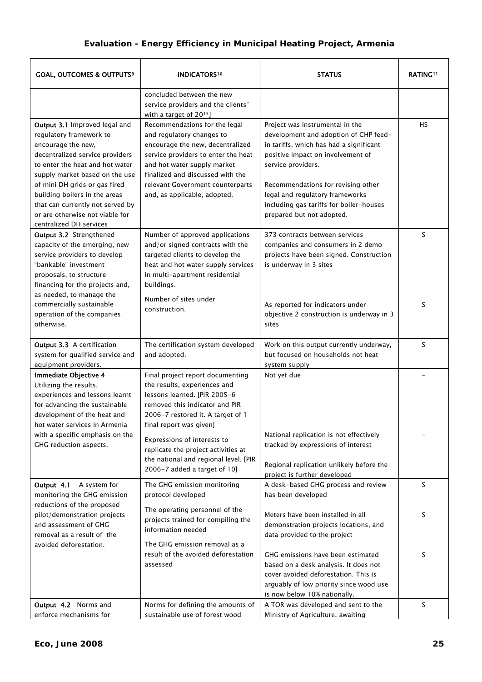<span id="page-29-0"></span>

| <b>GOAL, OUTCOMES &amp; OUTPUTS<sup>9</sup></b><br><b>INDICATORS</b> <sup>10</sup>                                                                                                                                                                                                                                                                         |                                                                                                                                                                                                                                                                              | <b>STATUS</b>                                                                                                                                                                                                                                                                                                                   | <b>RATING!!</b> |
|------------------------------------------------------------------------------------------------------------------------------------------------------------------------------------------------------------------------------------------------------------------------------------------------------------------------------------------------------------|------------------------------------------------------------------------------------------------------------------------------------------------------------------------------------------------------------------------------------------------------------------------------|---------------------------------------------------------------------------------------------------------------------------------------------------------------------------------------------------------------------------------------------------------------------------------------------------------------------------------|-----------------|
|                                                                                                                                                                                                                                                                                                                                                            | concluded between the new<br>service providers and the clients"<br>with a target of 2015]                                                                                                                                                                                    |                                                                                                                                                                                                                                                                                                                                 |                 |
| Output 3.1 Improved legal and<br>regulatory framework to<br>encourage the new,<br>decentralized service providers<br>to enter the heat and hot water<br>supply market based on the use<br>of mini DH grids or gas fired<br>building boilers in the areas<br>that can currently not served by<br>or are otherwise not viable for<br>centralized DH services | Recommendations for the legal<br>and regulatory changes to<br>encourage the new, decentralized<br>service providers to enter the heat<br>and hot water supply market<br>finalized and discussed with the<br>relevant Government counterparts<br>and, as applicable, adopted. | Project was instrumental in the<br>development and adoption of CHP feed-<br>in tariffs, which has had a significant<br>positive impact on involvement of<br>service providers.<br>Recommendations for revising other<br>legal and regulatory frameworks<br>including gas tariffs for boiler-houses<br>prepared but not adopted. | HS              |
| Output 3.2 Strengthened<br>capacity of the emerging, new<br>service providers to develop<br>"bankable" investment<br>proposals, to structure<br>financing for the projects and,<br>as needed, to manage the                                                                                                                                                | Number of approved applications<br>and/or signed contracts with the<br>targeted clients to develop the<br>heat and hot water supply services<br>in multi-apartment residential<br>buildings.                                                                                 | 373 contracts between services<br>companies and consumers in 2 demo<br>projects have been signed. Construction<br>is underway in 3 sites                                                                                                                                                                                        | S               |
| commercially sustainable<br>operation of the companies<br>otherwise.                                                                                                                                                                                                                                                                                       | Number of sites under<br>construction.                                                                                                                                                                                                                                       | As reported for indicators under<br>objective 2 construction is underway in 3<br>sites                                                                                                                                                                                                                                          | S               |
| Output 3.3 A certification<br>system for qualified service and<br>equipment providers.                                                                                                                                                                                                                                                                     | The certification system developed<br>and adopted.                                                                                                                                                                                                                           | Work on this output currently underway,<br>but focused on households not heat<br>system supply                                                                                                                                                                                                                                  | S               |
| Immediate Objective 4<br>Utilizing the results,<br>experiences and lessons learnt<br>for advancing the sustainable<br>development of the heat and<br>hot water services in Armenia                                                                                                                                                                         | Final project report documenting<br>the results, experiences and<br>lessons learned. [PIR 2005-6<br>removed this indicator and PIR<br>2006-7 restored it. A target of 1<br>final report was given]                                                                           | Not yet due                                                                                                                                                                                                                                                                                                                     |                 |
| with a specific emphasis on the<br>GHG reduction aspects.                                                                                                                                                                                                                                                                                                  | Expressions of interests to<br>replicate the project activities at<br>the national and regional level. [PIR<br>2006-7 added a target of 10]                                                                                                                                  | National replication is not effectively<br>tracked by expressions of interest<br>Regional replication unlikely before the<br>project is further developed                                                                                                                                                                       |                 |
| Output 4.1<br>A system for<br>monitoring the GHG emission                                                                                                                                                                                                                                                                                                  | The GHG emission monitoring<br>protocol developed                                                                                                                                                                                                                            | A desk-based GHG process and review<br>has been developed                                                                                                                                                                                                                                                                       | S               |
| reductions of the proposed<br>pilot/demonstration projects<br>and assessment of GHG<br>removal as a result of the                                                                                                                                                                                                                                          | The operating personnel of the<br>projects trained for compiling the<br>information needed                                                                                                                                                                                   | Meters have been installed in all<br>demonstration projects locations, and<br>data provided to the project                                                                                                                                                                                                                      | S               |
| avoided deforestation.                                                                                                                                                                                                                                                                                                                                     | The GHG emission removal as a<br>result of the avoided deforestation<br>assessed                                                                                                                                                                                             | GHG emissions have been estimated<br>based on a desk analysis. It does not<br>cover avoided deforestation. This is<br>arguably of low priority since wood use<br>is now below 10% nationally.                                                                                                                                   | S               |
| Output 4.2 Norms and<br>enforce mechanisms for                                                                                                                                                                                                                                                                                                             | Norms for defining the amounts of<br>sustainable use of forest wood                                                                                                                                                                                                          | A TOR was developed and sent to the<br>Ministry of Agriculture, awaiting                                                                                                                                                                                                                                                        | S               |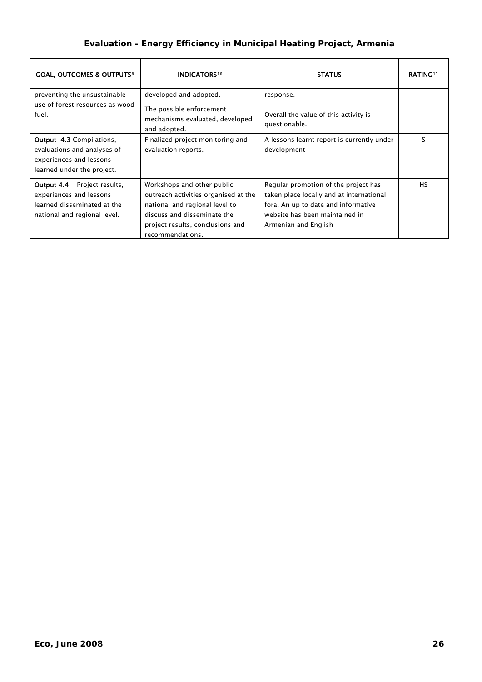| <b>GOAL, OUTCOMES &amp; OUTPUTS<sup>9</sup></b>                                                                                                                                    | <b>INDICATORS10</b>                                                                                                                                                                         | <b>STATUS</b>                                                                                                                                                                     | <b>RATING!!</b> |
|------------------------------------------------------------------------------------------------------------------------------------------------------------------------------------|---------------------------------------------------------------------------------------------------------------------------------------------------------------------------------------------|-----------------------------------------------------------------------------------------------------------------------------------------------------------------------------------|-----------------|
| preventing the unsustainable<br>use of forest resources as wood<br>fuel.                                                                                                           | developed and adopted.<br>The possible enforcement<br>mechanisms evaluated, developed<br>and adopted.                                                                                       | response.<br>Overall the value of this activity is<br>questionable.                                                                                                               |                 |
| <b>Output 4.3 Compilations,</b><br>Finalized project monitoring and<br>evaluations and analyses of<br>evaluation reports.<br>experiences and lessons<br>learned under the project. |                                                                                                                                                                                             | A lessons learnt report is currently under<br>development                                                                                                                         | ς               |
| <b>Output 4.4</b> Project results,<br>experiences and lessons<br>learned disseminated at the<br>national and regional level.                                                       | Workshops and other public<br>outreach activities organised at the<br>national and regional level to<br>discuss and disseminate the<br>project results, conclusions and<br>recommendations. | Regular promotion of the project has<br>taken place locally and at international<br>fora. An up to date and informative<br>website has been maintained in<br>Armenian and English | <b>HS</b>       |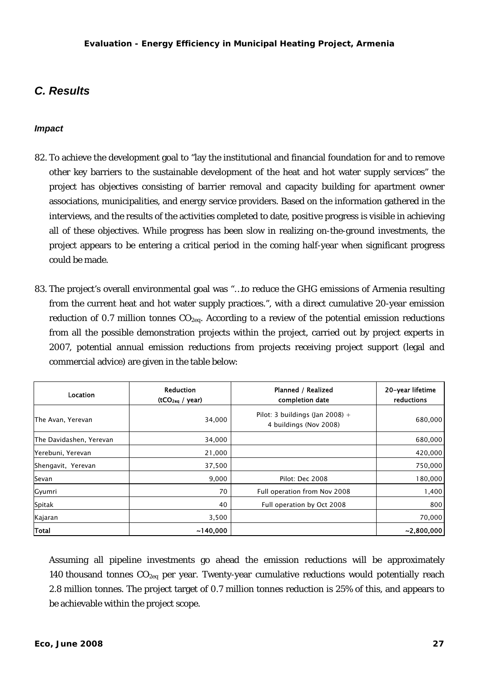### <span id="page-31-0"></span>*C. Results*

### *Impact*

- 82. To achieve the development goal to "lay the institutional and financial foundation for and to remove other key barriers to the sustainable development of the heat and hot water supply services" the project has objectives consisting of barrier removal and capacity building for apartment owner associations, municipalities, and energy service providers. Based on the information gathered in the interviews, and the results of the activities completed to date, positive progress is visible in achieving all of these objectives. While progress has been slow in realizing on-the-ground investments, the project appears to be entering a critical period in the coming half-year when significant progress could be made.
- 83. The project's overall environmental goal was "…to reduce the GHG emissions of Armenia resulting from the current heat and hot water supply practices.", with a direct cumulative 20-year emission reduction of 0.7 million tonnes  $CO<sub>2ea</sub>$ . According to a review of the potential emission reductions from all the possible demonstration projects within the project, carried out by project experts in 2007, potential annual emission reductions from projects receiving project support (legal and commercial advice) are given in the table below:

| Location                | <b>Reduction</b><br>(tCO <sub>2eq</sub> / year) | Planned / Realized<br>completion date                     | 20-year lifetime<br>reductions |
|-------------------------|-------------------------------------------------|-----------------------------------------------------------|--------------------------------|
| The Avan, Yerevan       | 34,000                                          | Pilot: 3 buildings (Jan 2008) +<br>4 buildings (Nov 2008) | 680,000                        |
| The Davidashen, Yerevan | 34,000                                          |                                                           | 680,000                        |
| Yerebuni, Yerevan       | 21,000                                          |                                                           | 420,000                        |
| Shengavit, Yerevan      | 37,500                                          |                                                           | 750,000                        |
| Sevan                   | 9,000                                           | Pilot: Dec 2008                                           | 180,000                        |
| Gyumri                  | 70                                              | Full operation from Nov 2008                              | 1,400                          |
| Spitak                  | 40                                              | Full operation by Oct 2008                                | 800                            |
| Kajaran                 | 3,500                                           |                                                           | 70,000                         |
| Total                   | ~140,000                                        |                                                           | ~2,800,000                     |

Assuming all pipeline investments go ahead the emission reductions will be approximately 140 thousand tonnes  $CO_{2eq}$  per year. Twenty-year cumulative reductions would potentially reach 2.8 million tonnes. The project target of 0.7 million tonnes reduction is 25% of this, and appears to be achievable within the project scope.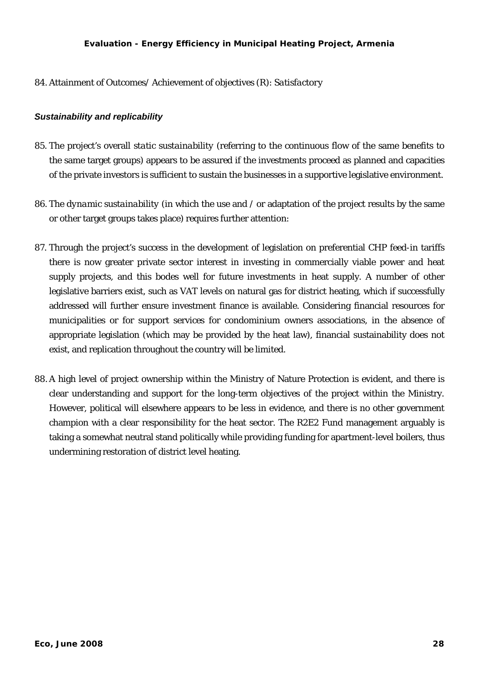<span id="page-32-0"></span>84. Attainment of Outcomes/ Achievement of objectives (R): *Satisfactory*

### *Sustainability and replicability*

- <span id="page-32-1"></span>85. The project's overall *static sustainability* (referring to the continuous flow of the same benefits to the same target groups) appears to be assured if the investments proceed as planned and capacities of the private investors is sufficient to sustain the businesses in a supportive legislative environment.
- 86. The *dynamic sustainability* (in which the use and / or adaptation of the project results by the same or other target groups takes place) requires further attention:
- 87. Through the project's success in the development of legislation on preferential CHP feed-in tariffs there is now greater private sector interest in investing in commercially viable power and heat supply projects, and this bodes well for future investments in heat supply. A number of other legislative barriers exist, such as VAT levels on natural gas for district heating, which if successfully addressed will further ensure investment finance is available. Considering financial resources for municipalities or for support services for condominium owners associations, in the absence of appropriate legislation (which may be provided by the heat law), financial sustainability does not exist, and replication throughout the country will be limited.
- 88. A high level of project ownership within the Ministry of Nature Protection is evident, and there is clear understanding and support for the long-term objectives of the project within the Ministry. However, political will elsewhere appears to be less in evidence, and there is no other government champion with a clear responsibility for the heat sector. The R2E2 Fund management arguably is taking a somewhat neutral stand politically while providing funding for apartment-level boilers, thus undermining restoration of district level heating.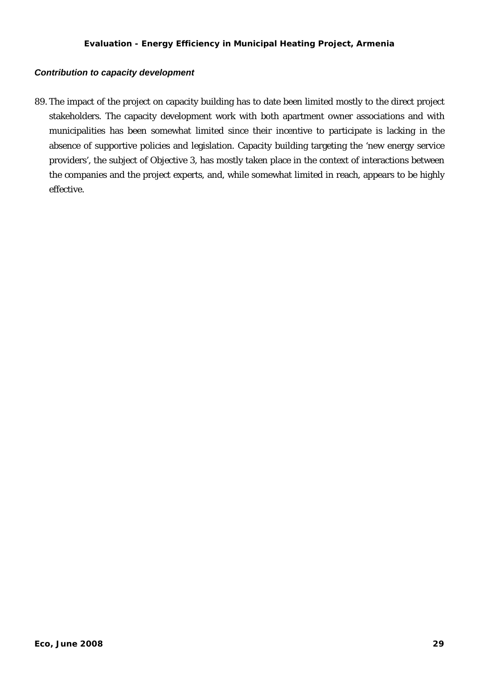### <span id="page-33-0"></span>*Contribution to capacity development*

89. The impact of the project on capacity building has to date been limited mostly to the direct project stakeholders. The capacity development work with both apartment owner associations and with municipalities has been somewhat limited since their incentive to participate is lacking in the absence of supportive policies and legislation. Capacity building targeting the 'new energy service providers', the subject of Objective 3, has mostly taken place in the context of interactions between the companies and the project experts, and, while somewhat limited in reach, appears to be highly effective.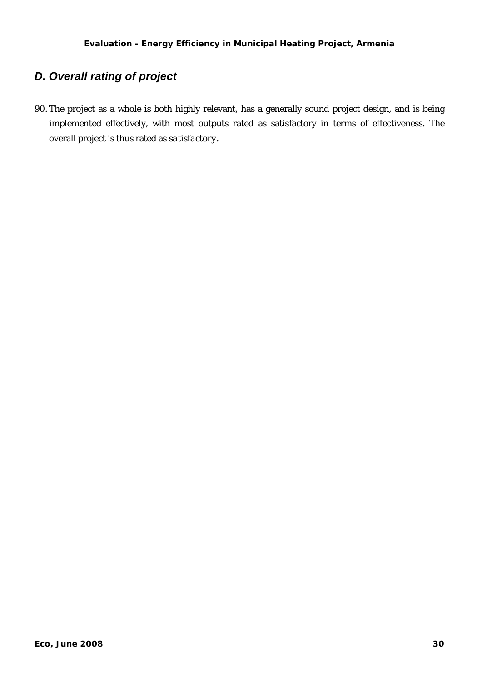### <span id="page-34-0"></span>*D. Overall rating of project*

90. The project as a whole is both highly relevant, has a generally sound project design, and is being implemented effectively, with most outputs rated as satisfactory in terms of effectiveness. The overall project is thus rated as *satisfactory*.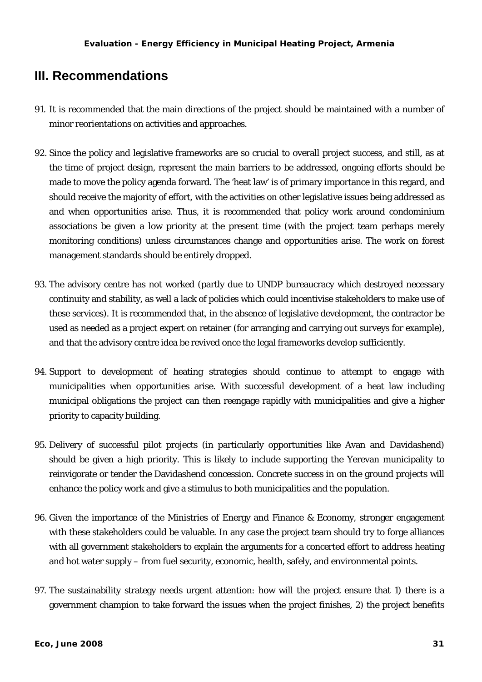### <span id="page-35-0"></span>**III. Recommendations**

- 91. It is recommended that the main directions of the project should be maintained with a number of minor reorientations on activities and approaches.
- 92. Since the policy and legislative frameworks are so crucial to overall project success, and still, as at the time of project design, represent the main barriers to be addressed, ongoing efforts should be made to move the policy agenda forward. The 'heat law' is of primary importance in this regard, and should receive the majority of effort, with the activities on other legislative issues being addressed as and when opportunities arise. Thus, it is recommended that policy work around condominium associations be given a low priority at the present time (with the project team perhaps merely monitoring conditions) unless circumstances change and opportunities arise. The work on forest management standards should be entirely dropped.
- 93. The advisory centre has not worked (partly due to UNDP bureaucracy which destroyed necessary continuity and stability, as well a lack of policies which could incentivise stakeholders to make use of these services). It is recommended that, in the absence of legislative development, the contractor be used as needed as a project expert on retainer (for arranging and carrying out surveys for example), and that the advisory centre idea be revived once the legal frameworks develop sufficiently.
- 94. Support to development of heating strategies should continue to attempt to engage with municipalities when opportunities arise. With successful development of a heat law including municipal obligations the project can then reengage rapidly with municipalities and give a higher priority to capacity building.
- 95. Delivery of successful pilot projects (in particularly opportunities like Avan and Davidashend) should be given a high priority. This is likely to include supporting the Yerevan municipality to reinvigorate or tender the Davidashend concession. Concrete success in on the ground projects will enhance the policy work and give a stimulus to both municipalities and the population.
- 96. Given the importance of the Ministries of Energy and Finance & Economy, stronger engagement with these stakeholders could be valuable. In any case the project team should try to forge alliances with all government stakeholders to explain the arguments for a concerted effort to address heating and hot water supply – from fuel security, economic, health, safely, and environmental points.
- 97. The sustainability strategy needs urgent attention: how will the project ensure that 1) there is a government champion to take forward the issues when the project finishes, 2) the project benefits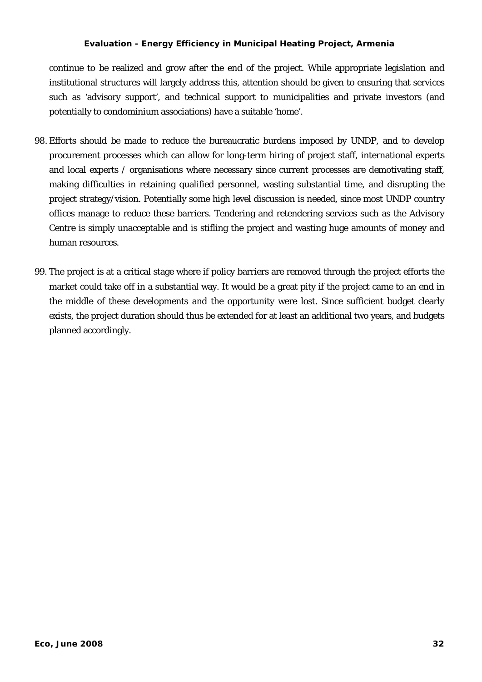continue to be realized and grow after the end of the project. While appropriate legislation and institutional structures will largely address this, attention should be given to ensuring that services such as 'advisory support', and technical support to municipalities and private investors (and potentially to condominium associations) have a suitable 'home'.

- 98. Efforts should be made to reduce the bureaucratic burdens imposed by UNDP, and to develop procurement processes which can allow for long-term hiring of project staff, international experts and local experts / organisations where necessary since current processes are demotivating staff, making difficulties in retaining qualified personnel, wasting substantial time, and disrupting the project strategy/vision. Potentially some high level discussion is needed, since most UNDP country offices manage to reduce these barriers. Tendering and retendering services such as the Advisory Centre is simply unacceptable and is stifling the project and wasting huge amounts of money and human resources.
- 99. The project is at a critical stage where if policy barriers are removed through the project efforts the market could take off in a substantial way. It would be a great pity if the project came to an end in the middle of these developments and the opportunity were lost. Since sufficient budget clearly exists, the project duration should thus be extended for at least an additional two years, and budgets planned accordingly.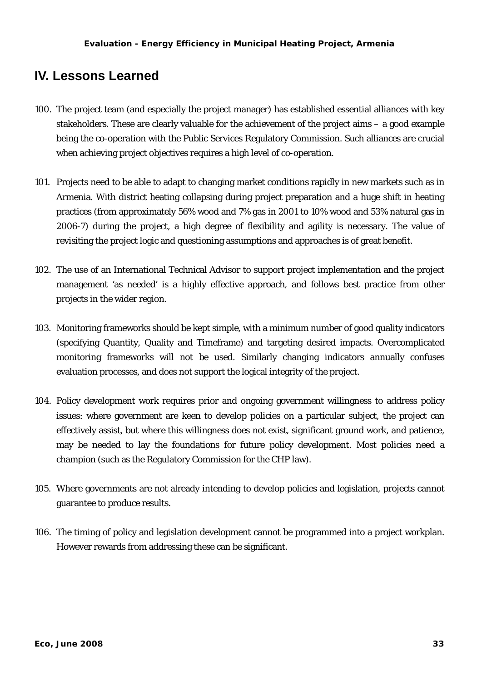### <span id="page-37-0"></span>**IV. Lessons Learned**

- 100. The project team (and especially the project manager) has established essential alliances with key stakeholders. These are clearly valuable for the achievement of the project aims – a good example being the co-operation with the Public Services Regulatory Commission. Such alliances are crucial when achieving project objectives requires a high level of co-operation.
- 101. Projects need to be able to adapt to changing market conditions rapidly in new markets such as in Armenia. With district heating collapsing during project preparation and a huge shift in heating practices (from approximately 56% wood and 7% gas in 2001 to 10% wood and 53% natural gas in 2006-7) during the project, a high degree of flexibility and agility is necessary. The value of revisiting the project logic and questioning assumptions and approaches is of great benefit.
- 102. The use of an International Technical Advisor to support project implementation and the project management 'as needed' is a highly effective approach, and follows best practice from other projects in the wider region.
- 103. Monitoring frameworks should be kept simple, with a minimum number of good quality indicators (specifying Quantity, Quality and Timeframe) and targeting desired impacts. Overcomplicated monitoring frameworks will not be used. Similarly changing indicators annually confuses evaluation processes, and does not support the logical integrity of the project.
- 104. Policy development work requires prior and ongoing government willingness to address policy issues: where government are keen to develop policies on a particular subject, the project can effectively assist, but where this willingness does not exist, significant ground work, and patience, may be needed to lay the foundations for future policy development. Most policies need a champion (such as the Regulatory Commission for the CHP law).
- 105. Where governments are not already intending to develop policies and legislation, projects cannot guarantee to produce results.
- 106. The timing of policy and legislation development cannot be programmed into a project workplan. However rewards from addressing these can be significant.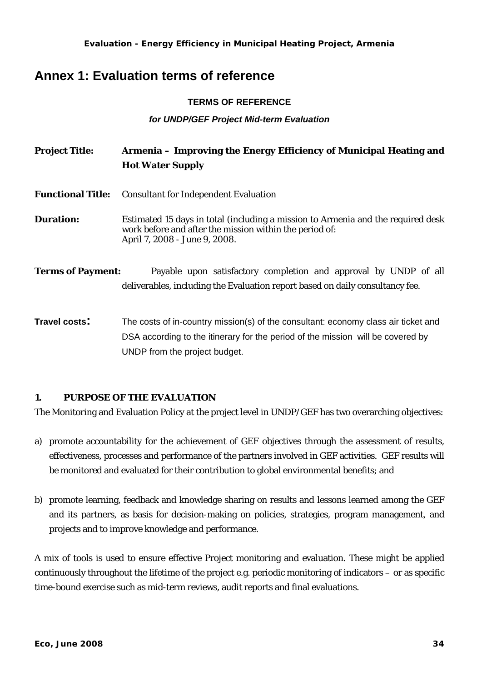### <span id="page-38-0"></span>**Annex 1: Evaluation terms of reference**

### **TERMS OF REFERENCE**

### *for UNDP/GEF Project Mid-term Evaluation*

| <b>Project Title:</b>    | Armenia – Improving the Energy Efficiency of Municipal Heating and<br><b>Hot Water Supply</b>                                                                                |
|--------------------------|------------------------------------------------------------------------------------------------------------------------------------------------------------------------------|
| <b>Functional Title:</b> | <b>Consultant for Independent Evaluation</b>                                                                                                                                 |
| <b>Duration:</b>         | Estimated 15 days in total (including a mission to Armenia and the required desk<br>work before and after the mission within the period of:<br>April 7, 2008 - June 9, 2008. |
| <b>Terms of Payment:</b> | Payable upon satisfactory completion and approval by UNDP of all<br>deliverables, including the Evaluation report based on daily consultancy fee.                            |
| <b>Travel costs:</b>     | The costs of in-country mission(s) of the consultant: economy class air ticket and<br>DSA according to the itinerary for the period of the mission will be covered by        |

### **1. PURPOSE OF THE EVALUATION**

UNDP from the project budget.

The Monitoring and Evaluation Policy at the project level in UNDP/GEF has two overarching objectives:

- a) promote accountability for the achievement of GEF objectives through the assessment of results, effectiveness, processes and performance of the partners involved in GEF activities. GEF results will be monitored and evaluated for their contribution to global environmental benefits; and
- b) promote learning, feedback and knowledge sharing on results and lessons learned among the GEF and its partners, as basis for decision-making on policies, strategies, program management, and projects and to improve knowledge and performance.

A mix of tools is used to ensure effective Project monitoring and evaluation. These might be applied continuously throughout the lifetime of the project e.g. periodic monitoring of indicators – or as specific time-bound exercise such as mid-term reviews, audit reports and final evaluations.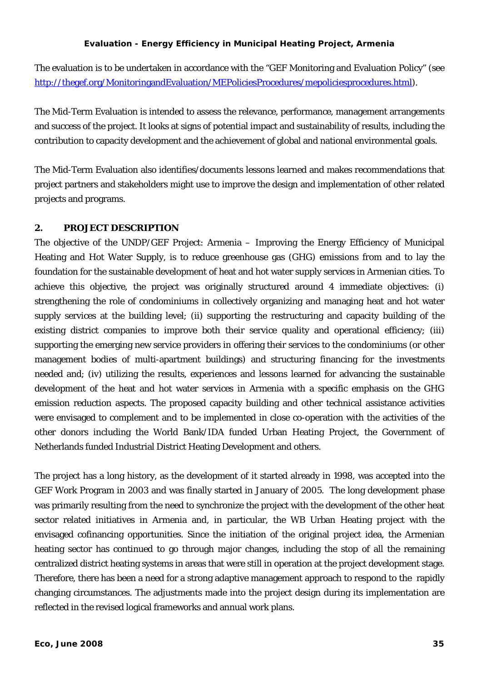The evaluation is to be undertaken in accordance with the "GEF Monitoring and Evaluation Policy" (see [http://thegef.org/MonitoringandEvaluation/MEPoliciesProcedures/mepoliciesprocedures.html\)](http://thegef.org/MonitoringandEvaluation/MEPoliciesProcedures/mepoliciesprocedures.html).

The Mid-Term Evaluation is intended to assess the relevance, performance, management arrangements and success of the project. It looks at signs of potential impact and sustainability of results, including the contribution to capacity development and the achievement of global and national environmental goals.

The Mid-Term Evaluation also identifies/documents lessons learned and makes recommendations that project partners and stakeholders might use to improve the design and implementation of other related projects and programs.

### **2. PROJECT DESCRIPTION**

The objective of the UNDP/GEF Project: Armenia – Improving the Energy Efficiency of Municipal Heating and Hot Water Supply, is to reduce greenhouse gas (GHG) emissions from and to lay the foundation for the sustainable development of heat and hot water supply services in Armenian cities. To achieve this objective, the project was originally structured around 4 immediate objectives: (i) strengthening the role of condominiums in collectively organizing and managing heat and hot water supply services at the building level; (ii) supporting the restructuring and capacity building of the existing district companies to improve both their service quality and operational efficiency; (iii) supporting the emerging new service providers in offering their services to the condominiums (or other management bodies of multi-apartment buildings) and structuring financing for the investments needed and; (iv) utilizing the results, experiences and lessons learned for advancing the sustainable development of the heat and hot water services in Armenia with a specific emphasis on the GHG emission reduction aspects. The proposed capacity building and other technical assistance activities were envisaged to complement and to be implemented in close co-operation with the activities of the other donors including the World Bank/IDA funded Urban Heating Project, the Government of Netherlands funded Industrial District Heating Development and others.

The project has a long history, as the development of it started already in 1998, was accepted into the GEF Work Program in 2003 and was finally started in January of 2005. The long development phase was primarily resulting from the need to synchronize the project with the development of the other heat sector related initiatives in Armenia and, in particular, the WB Urban Heating project with the envisaged cofinancing opportunities. Since the initiation of the original project idea, the Armenian heating sector has continued to go through major changes, including the stop of all the remaining centralized district heating systems in areas that were still in operation at the project development stage. Therefore, there has been a need for a strong adaptive management approach to respond to the rapidly changing circumstances. The adjustments made into the project design during its implementation are reflected in the revised logical frameworks and annual work plans.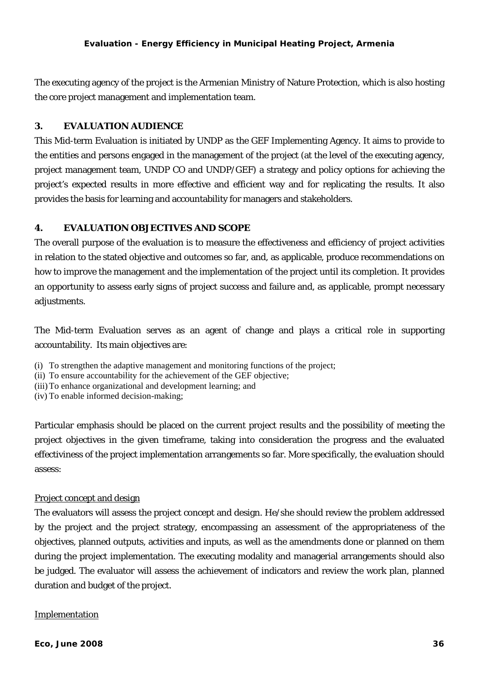The executing agency of the project is the Armenian Ministry of Nature Protection, which is also hosting the core project management and implementation team.

### **3. EVALUATION AUDIENCE**

This Mid-term Evaluation is initiated by UNDP as the GEF Implementing Agency. It aims to provide to the entities and persons engaged in the management of the project (at the level of the executing agency, project management team, UNDP CO and UNDP/GEF) a strategy and policy options for achieving the project's expected results in more effective and efficient way and for replicating the results. It also provides the basis for learning and accountability for managers and stakeholders.

### **4. EVALUATION OBJECTIVES AND SCOPE**

The overall purpose of the evaluation is to measure the effectiveness and efficiency of project activities in relation to the stated objective and outcomes so far, and, as applicable, produce recommendations on how to improve the management and the implementation of the project until its completion. It provides an opportunity to assess early signs of project success and failure and, as applicable, prompt necessary adjustments.

The Mid-term Evaluation serves as an agent of change and plays a critical role in supporting accountability. Its main objectives are:

- (i) To strengthen the adaptive management and monitoring functions of the project;
- (ii) To ensure accountability for the achievement of the GEF objective;
- (iii) To enhance organizational and development learning; and
- (iv) To enable informed decision-making;

Particular emphasis should be placed on the current project results and the possibility of meeting the project objectives in the given timeframe, taking into consideration the progress and the evaluated effectiviness of the project implementation arrangements so far. More specifically, the evaluation should assess:

### Project concept and design

The evaluators will assess the project concept and design. He/she should review the problem addressed by the project and the project strategy, encompassing an assessment of the appropriateness of the objectives, planned outputs, activities and inputs, as well as the amendments done or planned on them during the project implementation. The executing modality and managerial arrangements should also be judged. The evaluator will assess the achievement of indicators and review the work plan, planned duration and budget of the project.

### Implementation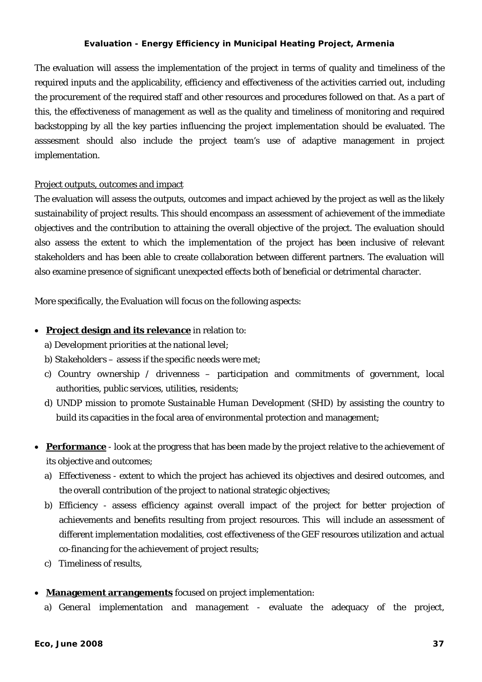The evaluation will assess the implementation of the project in terms of quality and timeliness of the required inputs and the applicability, efficiency and effectiveness of the activities carried out, including the procurement of the required staff and other resources and procedures followed on that. As a part of this, the effectiveness of management as well as the quality and timeliness of monitoring and required backstopping by all the key parties influencing the project implementation should be evaluated. The asssesment should also include the project team's use of adaptive management in project implementation.

### Project outputs, outcomes and impact

The evaluation will assess the outputs, outcomes and impact achieved by the project as well as the likely sustainability of project results. This should encompass an assessment of achievement of the immediate objectives and the contribution to attaining the overall objective of the project. The evaluation should also assess the extent to which the implementation of the project has been inclusive of relevant stakeholders and has been able to create collaboration between different partners. The evaluation will also examine presence of significant unexpected effects both of beneficial or detrimental character.

More specifically, the Evaluation will focus on the following aspects:

### • **Project design and its relevance** in relation to:

- a) *Development priorities* at the national level;
- b) *Stakeholders –* assess if the specific needs were met;
- c) *Country ownership / drivenness* participation and commitments of government, local authorities, public services, utilities, residents;
- d) *UNDP mission to promote Sustainable Human Development (SHD)* by assisting the country to build its capacities in the focal area of environmental protection and management;
- **Performance** look at the progress that has been made by the project relative to the achievement of its objective and outcomes;
	- a) *Effectiveness* extent to which the project has achieved its objectives and desired outcomes, and the overall contribution of the project to national strategic objectives;
	- b) *Efficiency* assess efficiency against overall impact of the project for better projection of achievements and benefits resulting from project resources. This will include an assessment of different implementation modalities, cost effectiveness of the GEF resources utilization and actual co-financing for the achievement of project results;
	- c) *Timeliness* of results,

### • **Management arrangements** focused on project implementation:

a) *General implementation and management* - evaluate the adequacy of the project,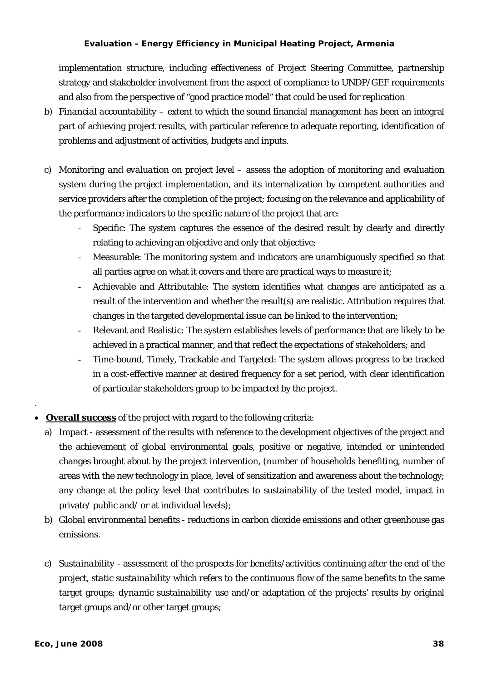implementation structure, including effectiveness of Project Steering Committee, partnership strategy and stakeholder involvement from the aspect of compliance to UNDP/GEF requirements and also from the perspective of "good practice model" that could be used for replication

- b) *Financial accountability* extent to which the sound financial management has been an integral part of achieving project results, with particular reference to adequate reporting, identification of problems and adjustment of activities, budgets and inputs.
- c) *Monitoring and evaluation on project level* assess the adoption of monitoring and evaluation system during the project implementation, and its internalization by competent authorities and service providers after the completion of the project; focusing on the relevance and applicability of the performance indicators to the specific nature of the project that are:
	- Specific: The system captures the essence of the desired result by clearly and directly relating to achieving an objective and only that objective;
	- Measurable: The monitoring system and indicators are unambiguously specified so that all parties agree on what it covers and there are practical ways to measure it;
	- Achievable and Attributable: The system identifies what changes are anticipated as a result of the intervention and whether the result(s) are realistic. Attribution requires that changes in the targeted developmental issue can be linked to the intervention;
	- Relevant and Realistic: The system establishes levels of performance that are likely to be achieved in a practical manner, and that reflect the expectations of stakeholders; and
	- Time-bound, Timely, Trackable and Targeted: The system allows progress to be tracked in a cost-effective manner at desired frequency for a set period, with clear identification of particular stakeholders group to be impacted by the project.
- **Overall success** of the project with regard to the following criteria:
	- a) *Impact* assessment of the results with reference to the development objectives of the project and the achievement of global environmental goals, positive or negative, intended or unintended changes brought about by the project intervention, (number of households benefiting, number of areas with the new technology in place, level of sensitization and awareness about the technology; any change at the policy level that contributes to sustainability of the tested model, impact in private/ public and/ or at individual levels);
	- b) *Global environmental benefits* reductions in carbon dioxide emissions and other greenhouse gas emissions.
	- c) *Sustainability* assessment of the prospects for benefits/activities continuing after the end of the project, *static sustainability* which refers to the continuous flow of the same benefits to the same target groups; *dynamic sustainability* use and/or adaptation of the projects' results by original target groups and/or other target groups;

.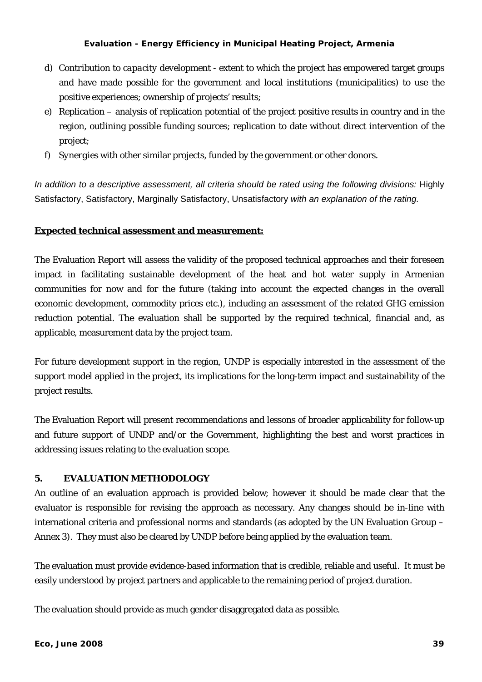- d) *Contribution to capacity development* extent to which the project has empowered target groups and have made possible for the government and local institutions (municipalities) to use the positive experiences; ownership of projects' results;
- e) *Replication* analysis of replication potential of the project positive results in country and in the region, outlining possible funding sources; replication to date without direct intervention of the project;
- f) *Synergies* with other similar projects, funded by the government or other donors.

*In addition to a descriptive assessment, all criteria should be rated using the following divisions:* Highly Satisfactory, Satisfactory, Marginally Satisfactory, Unsatisfactory *with an explanation of the rating.* 

### **Expected technical assessment and measurement:**

The Evaluation Report will assess the validity of the proposed technical approaches and their foreseen impact in facilitating sustainable development of the heat and hot water supply in Armenian communities for now and for the future (taking into account the expected changes in the overall economic development, commodity prices etc.), including an assessment of the related GHG emission reduction potential. The evaluation shall be supported by the required technical, financial and, as applicable, measurement data by the project team.

For future development support in the region, UNDP is especially interested in the assessment of the support model applied in the project, its implications for the long-term impact and sustainability of the project results.

The Evaluation Report will present recommendations and lessons of broader applicability for follow-up and future support of UNDP and/or the Government, highlighting the best and worst practices in addressing issues relating to the evaluation scope.

### **5. EVALUATION METHODOLOGY**

An outline of an evaluation approach is provided below; however it should be made clear that the evaluator is responsible for revising the approach as necessary. Any changes should be in-line with international criteria and professional norms and standards (as adopted by the UN Evaluation Group – Annex 3). They must also be cleared by UNDP before being applied by the evaluation team.

The evaluation must provide evidence-based information that is credible, reliable and useful. It must be easily understood by project partners and applicable to the remaining period of project duration.

The evaluation should provide as much gender disaggregated data as possible.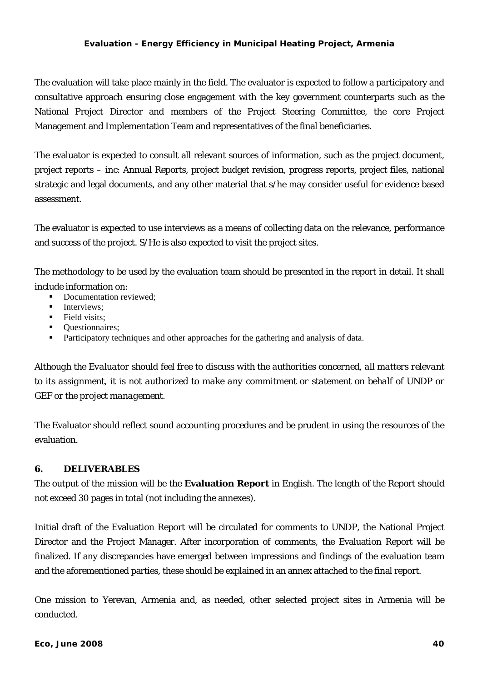The evaluation will take place mainly in the field. The evaluator is expected to follow a participatory and consultative approach ensuring close engagement with the key government counterparts such as the National Project Director and members of the Project Steering Committee, the core Project Management and Implementation Team and representatives of the final beneficiaries.

The evaluator is expected to consult all relevant sources of information, such as the project document, project reports – inc: Annual Reports, project budget revision, progress reports, project files, national strategic and legal documents, and any other material that s/he may consider useful for evidence based assessment.

The evaluator is expected to use interviews as a means of collecting data on the relevance, performance and success of the project. S/He is also expected to visit the project sites.

The methodology to be used by the evaluation team should be presented in the report in detail. It shall include information on:

- Documentation reviewed;
- **Interviews:**
- $\blacksquare$  Field visits:
- Ouestionnaires;
- Participatory techniques and other approaches for the gathering and analysis of data.

*Although the Evaluator should feel free to discuss with the authorities concerned, all matters relevant to its assignment, it is not authorized to make any commitment or statement on behalf of UNDP or GEF or the project management.* 

The Evaluator should reflect sound accounting procedures and be prudent in using the resources of the evaluation.

### **6. DELIVERABLES**

The output of the mission will be the **Evaluation Report** in English. The length of the Report should not exceed 30 pages in total (not including the annexes).

Initial draft of the Evaluation Report will be circulated for comments to UNDP, the National Project Director and the Project Manager. After incorporation of comments, the Evaluation Report will be finalized. If any discrepancies have emerged between impressions and findings of the evaluation team and the aforementioned parties, these should be explained in an annex attached to the final report.

One mission to Yerevan, Armenia and, as needed, other selected project sites in Armenia will be conducted.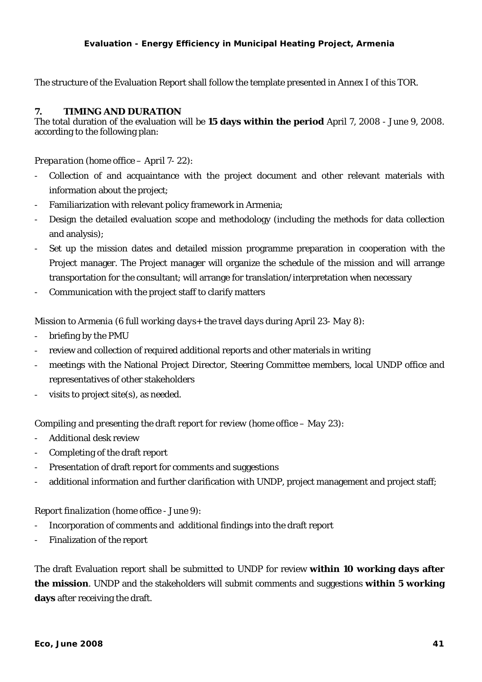The structure of the Evaluation Report shall follow the template presented in Annex I of this TOR.

#### **7. TIMING AND DURATION**

The total duration of the evaluation will be **15 days within the period** April 7, 2008 - June 9, 2008. according to the following plan:

#### *Preparation (home office – April 7- 22)*:

- Collection of and acquaintance with the project document and other relevant materials with information about the project;
- Familiarization with relevant policy framework in Armenia;
- Design the detailed evaluation scope and methodology (including the methods for data collection and analysis);
- Set up the mission dates and detailed mission programme preparation in cooperation with the Project manager. The Project manager will organize the schedule of the mission and will arrange transportation for the consultant; will arrange for translation/interpretation when necessary
- Communication with the project staff to clarify matters

#### *Mission to Armenia (6 full working days+ the travel days during April 23- May 8)*:

- briefing by the PMU
- review and collection of required additional reports and other materials in writing
- meetings with the National Project Director, Steering Committee members, local UNDP office and representatives of other stakeholders
- visits to project site $(s)$ , as needed.

#### *Compiling and presenting the draft report for review (home office – May 23)*:

- Additional desk review
- Completing of the draft report
- Presentation of draft report for comments and suggestions
- additional information and further clarification with UNDP, project management and project staff;

#### *Report finalization (home office - June 9)*:

- Incorporation of comments and additional findings into the draft report
- Finalization of the report

The draft Evaluation report shall be submitted to UNDP for review **within 10 working days after the mission**. UNDP and the stakeholders will submit comments and suggestions **within 5 working days** after receiving the draft.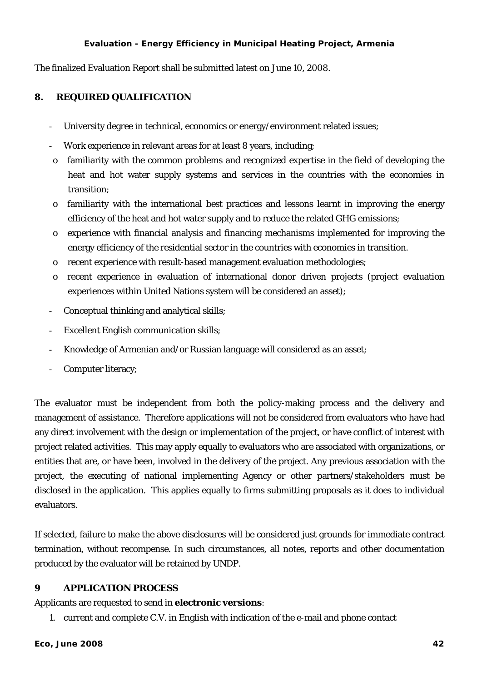The finalized Evaluation Report shall be submitted latest on June 10, 2008.

### **8. REQUIRED QUALIFICATION**

- University degree in technical, economics or energy/environment related issues;
- Work experience in relevant areas for at least 8 years, including;
- o familiarity with the common problems and recognized expertise in the field of developing the heat and hot water supply systems and services in the countries with the economies in transition;
- o familiarity with the international best practices and lessons learnt in improving the energy efficiency of the heat and hot water supply and to reduce the related GHG emissions;
- o experience with financial analysis and financing mechanisms implemented for improving the energy efficiency of the residential sector in the countries with economies in transition.
- o recent experience with result-based management evaluation methodologies;
- o recent experience in evaluation of international donor driven projects (project evaluation experiences within United Nations system will be considered an asset);
- Conceptual thinking and analytical skills;
- Excellent English communication skills;
- Knowledge of Armenian and/or Russian language will considered as an asset;
- Computer literacy;

The evaluator must be independent from both the policy-making process and the delivery and management of assistance. Therefore applications will not be considered from evaluators who have had any direct involvement with the design or implementation of the project, or have conflict of interest with project related activities. This may apply equally to evaluators who are associated with organizations, or entities that are, or have been, involved in the delivery of the project. Any previous association with the project, the executing of national implementing Agency or other partners/stakeholders must be disclosed in the application. This applies equally to firms submitting proposals as it does to individual evaluators.

If selected, failure to make the above disclosures will be considered just grounds for immediate contract termination, without recompense. In such circumstances, all notes, reports and other documentation produced by the evaluator will be retained by UNDP.

### **9 APPLICATION PROCESS**

Applicants are requested to send in **electronic versions**:

1. current and complete C.V. in English with indication of the e-mail and phone contact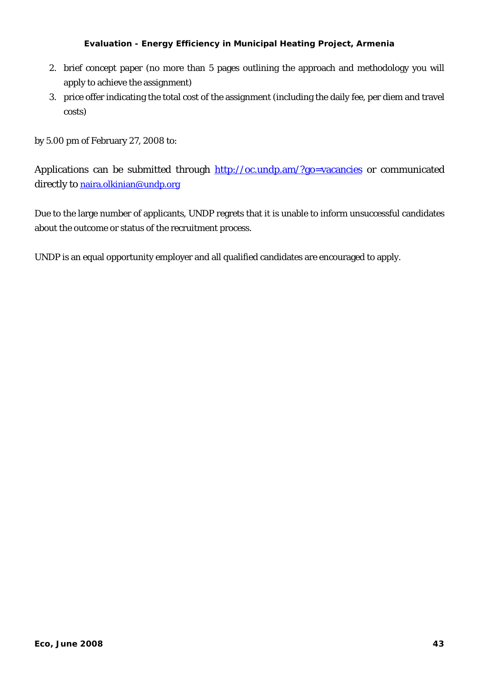- 2. brief concept paper (no more than 5 pages outlining the approach and methodology you will apply to achieve the assignment)
- 3. price offer indicating the total cost of the assignment (including the daily fee, per diem and travel costs)

by 5.00 pm of February 27, 2008 to:

Application[s](http://oc.undp.am/?go=vacancies) can be submitted through http://oc.undp.am/?go=vacancies or communicated directly to [naira.olkinian@undp.org](mailto:naira.olkinian@undp.org)

Due to the large number of applicants, UNDP regrets that it is unable to inform unsuccessful candidates about the outcome or status of the recruitment process.

UNDP is an equal opportunity employer and all qualified candidates are encouraged to apply.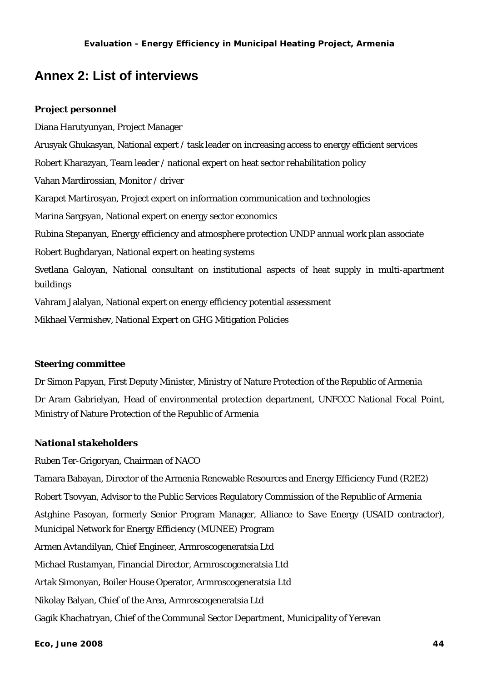### <span id="page-48-0"></span>**Annex 2: List of interviews**

### *Project personnel*

Diana Harutyunyan, Project Manager Arusyak Ghukasyan, National expert / task leader on increasing access to energy efficient services Robert Kharazyan, Team leader / national expert on heat sector rehabilitation policy Vahan Mardirossian, Monitor / driver Karapet Martirosyan, Project expert on information communication and technologies Marina Sargsyan, National expert on energy sector economics Rubina Stepanyan, Energy efficiency and atmosphere protection UNDP annual work plan associate Robert Bughdaryan, National expert on heating systems Svetlana Galoyan, National consultant on institutional aspects of heat supply in multi-apartment buildings Vahram Jalalyan, National expert on energy efficiency potential assessment Mikhael Vermishev, National Expert on GHG Mitigation Policies

### *Steering committee*

Dr Simon Papyan, First Deputy Minister, Ministry of Nature Protection of the Republic of Armenia Dr Aram Gabrielyan, Head of environmental protection department, UNFCCC National Focal Point, Ministry of Nature Protection of the Republic of Armenia

### *National stakeholders*

Ruben Ter-Grigoryan, Chairman of NACO

Tamara Babayan, Director of the Armenia Renewable Resources and Energy Efficiency Fund (R2E2) Robert Tsovyan, Advisor to the Public Services Regulatory Commission of the Republic of Armenia Astghine Pasoyan, formerly Senior Program Manager, Alliance to Save Energy (USAID contractor), Municipal Network for Energy Efficiency (MUNEE) Program Armen Avtandilyan, Chief Engineer, Armroscogeneratsia Ltd Michael Rustamyan, Financial Director, Armroscogeneratsia Ltd Artak Simonyan, Boiler House Operator, Armroscogeneratsia Ltd Nikolay Balyan, Chief of the Area, Armroscogeneratsia Ltd Gagik Khachatryan, Chief of the Communal Sector Department, Municipality of Yerevan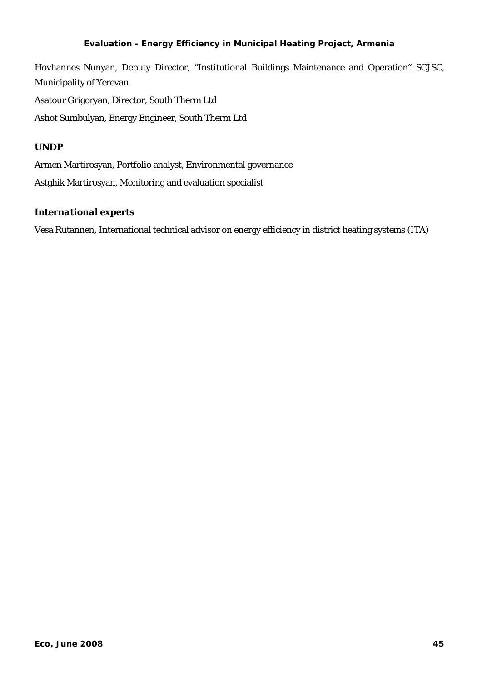Hovhannes Nunyan, Deputy Director, "Institutional Buildings Maintenance and Operation" SCJSC, Municipality of Yerevan Asatour Grigoryan, Director, South Therm Ltd Ashot Sumbulyan, Energy Engineer, South Therm Ltd

### *UNDP*

Armen Martirosyan, Portfolio analyst, Environmental governance Astghik Martirosyan, Monitoring and evaluation specialist

### *International experts*

Vesa Rutannen, International technical advisor on energy efficiency in district heating systems (ITA)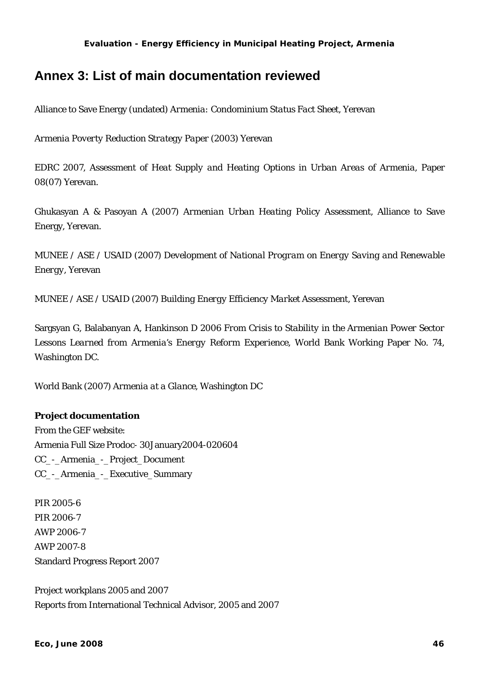### <span id="page-50-0"></span>**Annex 3: List of main documentation reviewed**

Alliance to Save Energy (undated) *Armenia: Condominium Status Fact Sheet*, Yerevan

*Armenia Poverty Reduction Strategy Paper* (2003) Yerevan

EDRC 2007, *Assessment of Heat Supply and Heating Options in Urban Areas of Armenia*, Paper 08(07) Yerevan.

Ghukasyan A & Pasoyan A (2007) *Armenian Urban Heating Policy Assessment*, Alliance to Save Energy, Yerevan.

MUNEE / ASE / USAID (2007) *Development of National Program on Energy Saving and Renewable Energy*, Yerevan

MUNEE / ASE / USAID (2007) *Building Energy Efficiency Market Assessment*, Yerevan

Sargsyan G, Balabanyan A, Hankinson D 2006 *From Crisis to Stability in the Armenian Power Sector Lessons Learned from Armenia's Energy Reform Experience,* World Bank Working Paper No. 74, Washington DC.

World Bank (2007) *Armenia at a Glance*, Washington DC

### **Project documentation**

From the GEF website: Armenia Full Size Prodoc- 30January2004-020604 CC\_-\_Armenia\_-\_Project\_Document CC\_-\_Armenia\_-\_Executive\_Summary

PIR 2005-6 PIR 2006-7 AWP 2006-7 AWP 2007-8 Standard Progress Report 2007

Project workplans 2005 and 2007 Reports from International Technical Advisor, 2005 and 2007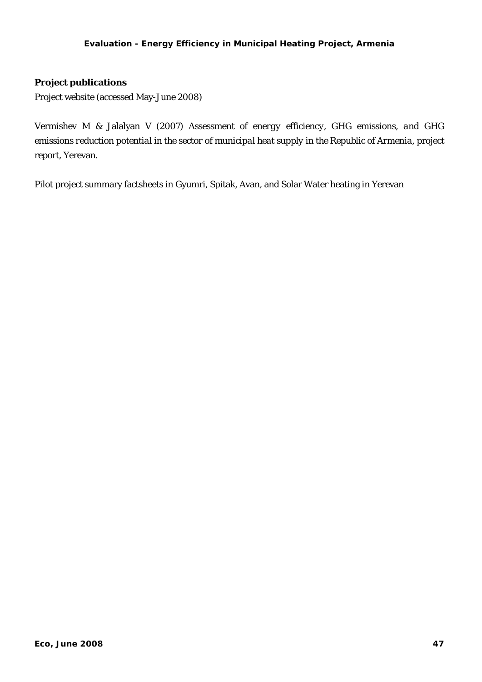### **Project publications**

Project website (accessed May-June 2008)

Vermishev M & Jalalyan V (2007) *Assessment of energy efficiency, GHG emissions, and GHG emissions reduction potential in the sector of municipal heat supply in the Republic of Armenia*, project report, Yerevan.

Pilot project summary factsheets in Gyumri, Spitak, Avan, and Solar Water heating in Yerevan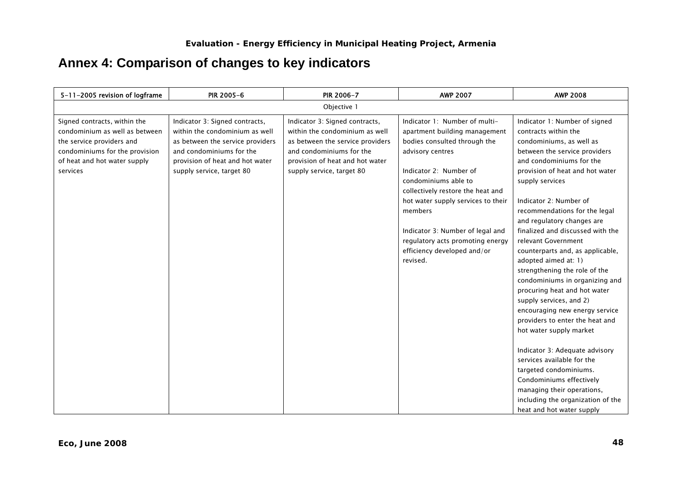# **Annex 4: Comparison of changes to key indicators**

<span id="page-52-0"></span>

| 5-11-2005 revision of logframe                                                                                                                                            | PIR 2005-6                                                                                                                                                                                       | PIR 2006-7                                                                                                                                                                                       | <b>AWP 2007</b>                                                                                                                                                                                                                                                                                                                                                               | <b>AWP 2008</b>                                                                                                                                                                                                                                                                                                                                                                                                                                                                                                                                                                                                                                                                                                                                                                                                                                                          |
|---------------------------------------------------------------------------------------------------------------------------------------------------------------------------|--------------------------------------------------------------------------------------------------------------------------------------------------------------------------------------------------|--------------------------------------------------------------------------------------------------------------------------------------------------------------------------------------------------|-------------------------------------------------------------------------------------------------------------------------------------------------------------------------------------------------------------------------------------------------------------------------------------------------------------------------------------------------------------------------------|--------------------------------------------------------------------------------------------------------------------------------------------------------------------------------------------------------------------------------------------------------------------------------------------------------------------------------------------------------------------------------------------------------------------------------------------------------------------------------------------------------------------------------------------------------------------------------------------------------------------------------------------------------------------------------------------------------------------------------------------------------------------------------------------------------------------------------------------------------------------------|
|                                                                                                                                                                           |                                                                                                                                                                                                  | Objective 1                                                                                                                                                                                      |                                                                                                                                                                                                                                                                                                                                                                               |                                                                                                                                                                                                                                                                                                                                                                                                                                                                                                                                                                                                                                                                                                                                                                                                                                                                          |
| Signed contracts, within the<br>condominium as well as between<br>the service providers and<br>condominiums for the provision<br>of heat and hot water supply<br>services | Indicator 3: Signed contracts,<br>within the condominium as well<br>as between the service providers<br>and condominiums for the<br>provision of heat and hot water<br>supply service, target 80 | Indicator 3: Signed contracts,<br>within the condominium as well<br>as between the service providers<br>and condominiums for the<br>provision of heat and hot water<br>supply service, target 80 | Indicator 1: Number of multi-<br>apartment building management<br>bodies consulted through the<br>advisory centres<br>Indicator 2: Number of<br>condominiums able to<br>collectively restore the heat and<br>hot water supply services to their<br>members<br>Indicator 3: Number of legal and<br>regulatory acts promoting energy<br>efficiency developed and/or<br>revised. | Indicator 1: Number of signed<br>contracts within the<br>condominiums, as well as<br>between the service providers<br>and condominiums for the<br>provision of heat and hot water<br>supply services<br>Indicator 2: Number of<br>recommendations for the legal<br>and regulatory changes are<br>finalized and discussed with the<br>relevant Government<br>counterparts and, as applicable,<br>adopted aimed at: 1)<br>strengthening the role of the<br>condominiums in organizing and<br>procuring heat and hot water<br>supply services, and 2)<br>encouraging new energy service<br>providers to enter the heat and<br>hot water supply market<br>Indicator 3: Adequate advisory<br>services available for the<br>targeted condominiums.<br>Condominiums effectively<br>managing their operations,<br>including the organization of the<br>heat and hot water supply |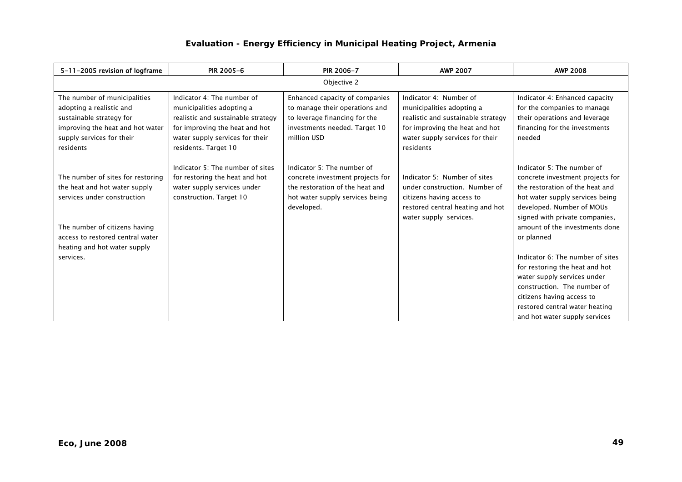| 5-11-2005 revision of logframe                                                                                                                                                                                      | <b>PIR 2005-6</b>                                                                                                                                                                          | PIR 2006-7                                                                                                                                         | <b>AWP 2007</b>                                                                                                                                                             | <b>AWP 2008</b>                                                                                                                                                                                                                                                                                                           |  |  |
|---------------------------------------------------------------------------------------------------------------------------------------------------------------------------------------------------------------------|--------------------------------------------------------------------------------------------------------------------------------------------------------------------------------------------|----------------------------------------------------------------------------------------------------------------------------------------------------|-----------------------------------------------------------------------------------------------------------------------------------------------------------------------------|---------------------------------------------------------------------------------------------------------------------------------------------------------------------------------------------------------------------------------------------------------------------------------------------------------------------------|--|--|
|                                                                                                                                                                                                                     | Objective 2                                                                                                                                                                                |                                                                                                                                                    |                                                                                                                                                                             |                                                                                                                                                                                                                                                                                                                           |  |  |
| The number of municipalities<br>adopting a realistic and<br>sustainable strategy for<br>improving the heat and hot water<br>supply services for their<br>residents                                                  | Indicator 4: The number of<br>municipalities adopting a<br>realistic and sustainable strategy<br>for improving the heat and hot<br>water supply services for their<br>residents. Target 10 | Enhanced capacity of companies<br>to manage their operations and<br>to leverage financing for the<br>investments needed. Target 10<br>million USD  | Indicator 4: Number of<br>municipalities adopting a<br>realistic and sustainable strategy<br>for improving the heat and hot<br>water supply services for their<br>residents | Indicator 4: Enhanced capacity<br>for the companies to manage<br>their operations and leverage<br>financing for the investments<br>needed                                                                                                                                                                                 |  |  |
| The number of sites for restoring<br>the heat and hot water supply<br>services under construction<br>The number of citizens having<br>access to restored central water<br>heating and hot water supply<br>services. | Indicator 5: The number of sites<br>for restoring the heat and hot<br>water supply services under<br>construction. Target 10                                                               | Indicator 5: The number of<br>concrete investment projects for<br>the restoration of the heat and<br>hot water supply services being<br>developed. | Indicator 5: Number of sites<br>under construction. Number of<br>citizens having access to<br>restored central heating and hot<br>water supply services.                    | Indicator 5: The number of<br>concrete investment projects for<br>the restoration of the heat and<br>hot water supply services being<br>developed. Number of MOUs<br>signed with private companies,<br>amount of the investments done<br>or planned<br>Indicator 6: The number of sites<br>for restoring the heat and hot |  |  |
|                                                                                                                                                                                                                     |                                                                                                                                                                                            |                                                                                                                                                    |                                                                                                                                                                             | water supply services under<br>construction. The number of<br>citizens having access to<br>restored central water heating<br>and hot water supply services                                                                                                                                                                |  |  |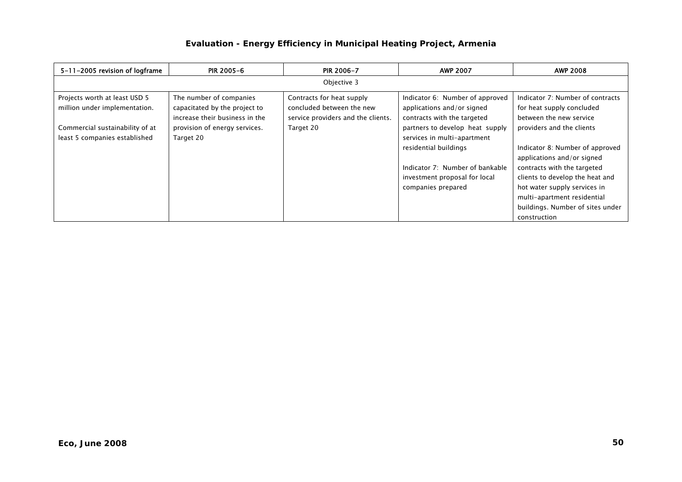| 5-11-2005 revision of logframe                                 | <b>PIR 2005-6</b>                                                                          | <b>PIR 2006-7</b>                                                                            | <b>AWP 2007</b>                                                                              | <b>AWP 2008</b>                                                                          |
|----------------------------------------------------------------|--------------------------------------------------------------------------------------------|----------------------------------------------------------------------------------------------|----------------------------------------------------------------------------------------------|------------------------------------------------------------------------------------------|
|                                                                |                                                                                            | Objective 3                                                                                  |                                                                                              |                                                                                          |
| Projects worth at least USD 5<br>million under implementation. | The number of companies<br>capacitated by the project to<br>increase their business in the | Contracts for heat supply<br>concluded between the new<br>service providers and the clients. | Indicator 6: Number of approved<br>applications and/or signed<br>contracts with the targeted | Indicator 7: Number of contracts<br>for heat supply concluded<br>between the new service |
| Commercial sustainability of at                                | provision of energy services.                                                              | Target 20                                                                                    | partners to develop heat supply                                                              | providers and the clients                                                                |
| least 5 companies established                                  | Target 20                                                                                  |                                                                                              | services in multi-apartment<br>residential buildings                                         | Indicator 8: Number of approved<br>applications and/or signed                            |
|                                                                |                                                                                            |                                                                                              | Indicator 7: Number of bankable                                                              | contracts with the targeted                                                              |
|                                                                |                                                                                            |                                                                                              | investment proposal for local                                                                | clients to develop the heat and                                                          |
|                                                                |                                                                                            |                                                                                              | companies prepared                                                                           | hot water supply services in                                                             |
|                                                                |                                                                                            |                                                                                              |                                                                                              | multi-apartment residential                                                              |
|                                                                |                                                                                            |                                                                                              |                                                                                              | buildings. Number of sites under                                                         |
|                                                                |                                                                                            |                                                                                              |                                                                                              | construction                                                                             |